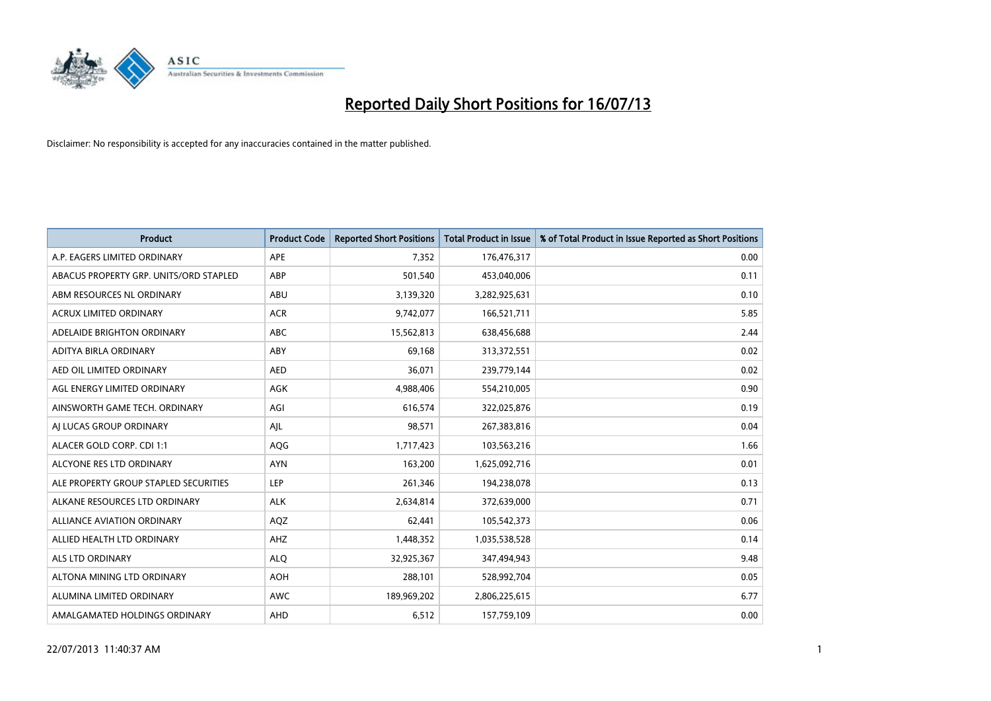

| <b>Product</b>                         | <b>Product Code</b> | <b>Reported Short Positions</b> | <b>Total Product in Issue</b> | % of Total Product in Issue Reported as Short Positions |
|----------------------------------------|---------------------|---------------------------------|-------------------------------|---------------------------------------------------------|
| A.P. EAGERS LIMITED ORDINARY           | APE                 | 7,352                           | 176,476,317                   | 0.00                                                    |
| ABACUS PROPERTY GRP. UNITS/ORD STAPLED | ABP                 | 501,540                         | 453,040,006                   | 0.11                                                    |
| ABM RESOURCES NL ORDINARY              | ABU                 | 3,139,320                       | 3,282,925,631                 | 0.10                                                    |
| ACRUX LIMITED ORDINARY                 | <b>ACR</b>          | 9,742,077                       | 166,521,711                   | 5.85                                                    |
| ADELAIDE BRIGHTON ORDINARY             | <b>ABC</b>          | 15,562,813                      | 638,456,688                   | 2.44                                                    |
| ADITYA BIRLA ORDINARY                  | ABY                 | 69,168                          | 313,372,551                   | 0.02                                                    |
| AED OIL LIMITED ORDINARY               | <b>AED</b>          | 36,071                          | 239,779,144                   | 0.02                                                    |
| AGL ENERGY LIMITED ORDINARY            | AGK                 | 4,988,406                       | 554,210,005                   | 0.90                                                    |
| AINSWORTH GAME TECH. ORDINARY          | AGI                 | 616,574                         | 322,025,876                   | 0.19                                                    |
| AI LUCAS GROUP ORDINARY                | AJL                 | 98,571                          | 267,383,816                   | 0.04                                                    |
| ALACER GOLD CORP. CDI 1:1              | AQG                 | 1,717,423                       | 103,563,216                   | 1.66                                                    |
| ALCYONE RES LTD ORDINARY               | <b>AYN</b>          | 163,200                         | 1,625,092,716                 | 0.01                                                    |
| ALE PROPERTY GROUP STAPLED SECURITIES  | <b>LEP</b>          | 261,346                         | 194,238,078                   | 0.13                                                    |
| ALKANE RESOURCES LTD ORDINARY          | <b>ALK</b>          | 2,634,814                       | 372,639,000                   | 0.71                                                    |
| ALLIANCE AVIATION ORDINARY             | AQZ                 | 62,441                          | 105,542,373                   | 0.06                                                    |
| ALLIED HEALTH LTD ORDINARY             | AHZ                 | 1,448,352                       | 1,035,538,528                 | 0.14                                                    |
| ALS LTD ORDINARY                       | <b>ALQ</b>          | 32,925,367                      | 347,494,943                   | 9.48                                                    |
| ALTONA MINING LTD ORDINARY             | <b>AOH</b>          | 288,101                         | 528,992,704                   | 0.05                                                    |
| ALUMINA LIMITED ORDINARY               | <b>AWC</b>          | 189,969,202                     | 2,806,225,615                 | 6.77                                                    |
| AMALGAMATED HOLDINGS ORDINARY          | AHD                 | 6,512                           | 157,759,109                   | 0.00                                                    |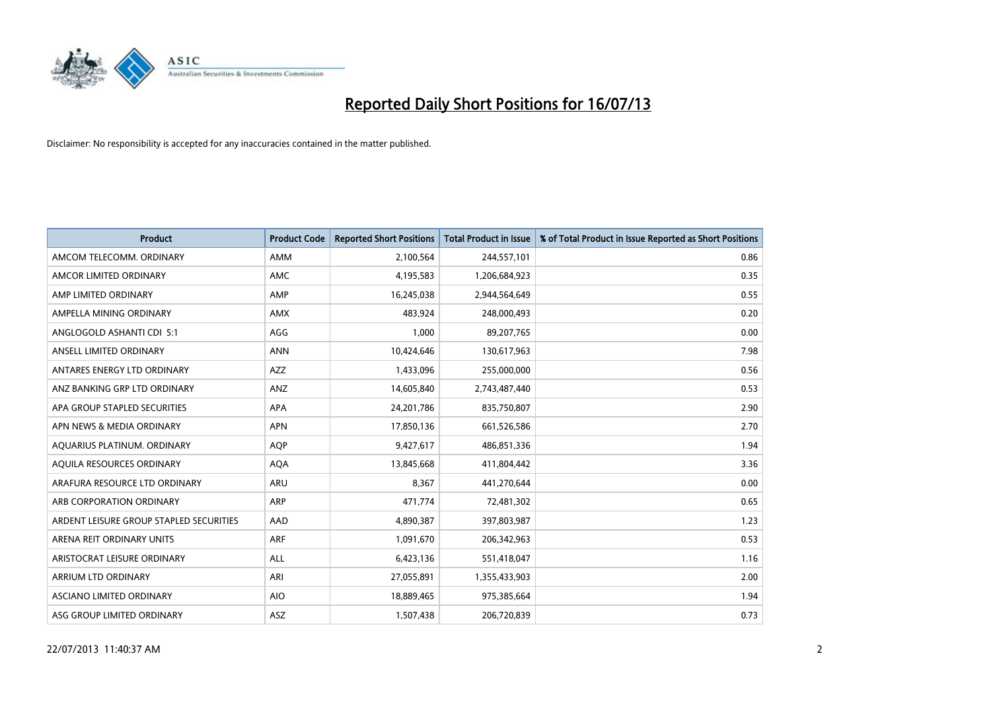

| <b>Product</b>                          | <b>Product Code</b> | <b>Reported Short Positions</b> | <b>Total Product in Issue</b> | % of Total Product in Issue Reported as Short Positions |
|-----------------------------------------|---------------------|---------------------------------|-------------------------------|---------------------------------------------------------|
| AMCOM TELECOMM, ORDINARY                | <b>AMM</b>          | 2,100,564                       | 244,557,101                   | 0.86                                                    |
| AMCOR LIMITED ORDINARY                  | AMC                 | 4,195,583                       | 1,206,684,923                 | 0.35                                                    |
| AMP LIMITED ORDINARY                    | AMP                 | 16,245,038                      | 2,944,564,649                 | 0.55                                                    |
| AMPELLA MINING ORDINARY                 | <b>AMX</b>          | 483,924                         | 248,000,493                   | 0.20                                                    |
| ANGLOGOLD ASHANTI CDI 5:1               | AGG                 | 1,000                           | 89,207,765                    | 0.00                                                    |
| ANSELL LIMITED ORDINARY                 | <b>ANN</b>          | 10,424,646                      | 130,617,963                   | 7.98                                                    |
| ANTARES ENERGY LTD ORDINARY             | AZZ                 | 1,433,096                       | 255,000,000                   | 0.56                                                    |
| ANZ BANKING GRP LTD ORDINARY            | ANZ                 | 14,605,840                      | 2,743,487,440                 | 0.53                                                    |
| APA GROUP STAPLED SECURITIES            | <b>APA</b>          | 24,201,786                      | 835,750,807                   | 2.90                                                    |
| APN NEWS & MEDIA ORDINARY               | <b>APN</b>          | 17,850,136                      | 661,526,586                   | 2.70                                                    |
| AQUARIUS PLATINUM. ORDINARY             | <b>AOP</b>          | 9,427,617                       | 486,851,336                   | 1.94                                                    |
| AQUILA RESOURCES ORDINARY               | <b>AQA</b>          | 13,845,668                      | 411,804,442                   | 3.36                                                    |
| ARAFURA RESOURCE LTD ORDINARY           | ARU                 | 8,367                           | 441,270,644                   | 0.00                                                    |
| ARB CORPORATION ORDINARY                | ARP                 | 471,774                         | 72,481,302                    | 0.65                                                    |
| ARDENT LEISURE GROUP STAPLED SECURITIES | AAD                 | 4,890,387                       | 397,803,987                   | 1.23                                                    |
| ARENA REIT ORDINARY UNITS               | ARF                 | 1,091,670                       | 206,342,963                   | 0.53                                                    |
| ARISTOCRAT LEISURE ORDINARY             | ALL                 | 6,423,136                       | 551,418,047                   | 1.16                                                    |
| ARRIUM LTD ORDINARY                     | ARI                 | 27,055,891                      | 1,355,433,903                 | 2.00                                                    |
| ASCIANO LIMITED ORDINARY                | <b>AIO</b>          | 18,889,465                      | 975,385,664                   | 1.94                                                    |
| ASG GROUP LIMITED ORDINARY              | ASZ                 | 1,507,438                       | 206,720,839                   | 0.73                                                    |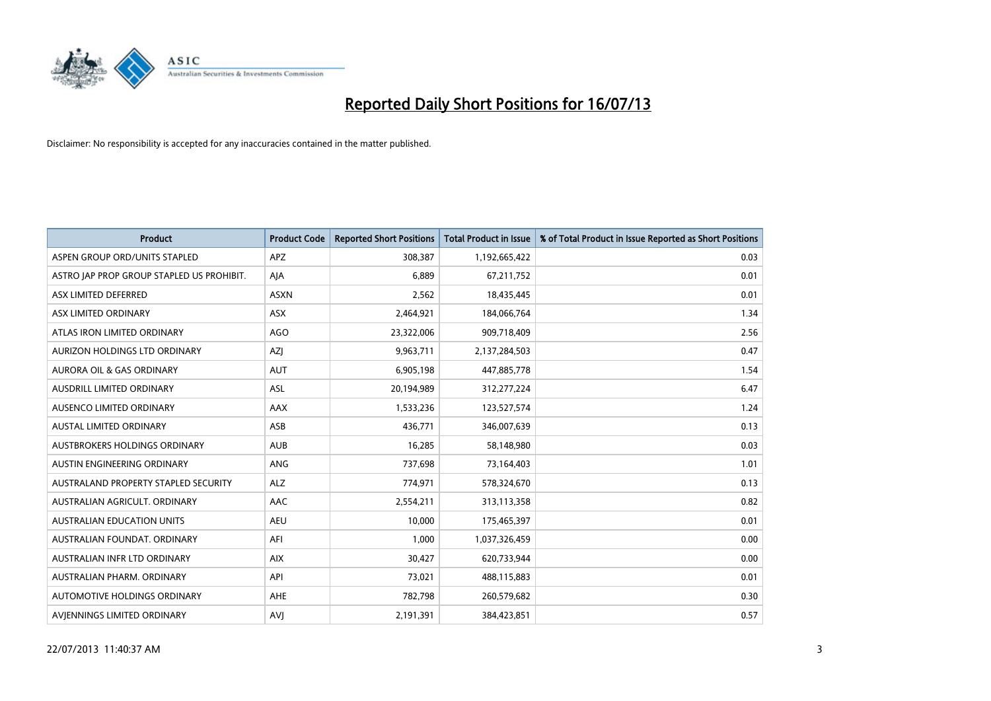

| <b>Product</b>                            | <b>Product Code</b> | <b>Reported Short Positions</b> | Total Product in Issue | % of Total Product in Issue Reported as Short Positions |
|-------------------------------------------|---------------------|---------------------------------|------------------------|---------------------------------------------------------|
| ASPEN GROUP ORD/UNITS STAPLED             | <b>APZ</b>          | 308,387                         | 1,192,665,422          | 0.03                                                    |
| ASTRO JAP PROP GROUP STAPLED US PROHIBIT. | AJA                 | 6,889                           | 67,211,752             | 0.01                                                    |
| ASX LIMITED DEFERRED                      | <b>ASXN</b>         | 2,562                           | 18,435,445             | 0.01                                                    |
| ASX LIMITED ORDINARY                      | ASX                 | 2,464,921                       | 184,066,764            | 1.34                                                    |
| ATLAS IRON LIMITED ORDINARY               | AGO                 | 23,322,006                      | 909,718,409            | 2.56                                                    |
| AURIZON HOLDINGS LTD ORDINARY             | AZJ                 | 9,963,711                       | 2,137,284,503          | 0.47                                                    |
| AURORA OIL & GAS ORDINARY                 | <b>AUT</b>          | 6,905,198                       | 447,885,778            | 1.54                                                    |
| AUSDRILL LIMITED ORDINARY                 | ASL                 | 20,194,989                      | 312,277,224            | 6.47                                                    |
| AUSENCO LIMITED ORDINARY                  | AAX                 | 1,533,236                       | 123,527,574            | 1.24                                                    |
| <b>AUSTAL LIMITED ORDINARY</b>            | ASB                 | 436,771                         | 346,007,639            | 0.13                                                    |
| AUSTBROKERS HOLDINGS ORDINARY             | <b>AUB</b>          | 16,285                          | 58,148,980             | 0.03                                                    |
| AUSTIN ENGINEERING ORDINARY               | ANG                 | 737,698                         | 73,164,403             | 1.01                                                    |
| AUSTRALAND PROPERTY STAPLED SECURITY      | <b>ALZ</b>          | 774,971                         | 578,324,670            | 0.13                                                    |
| AUSTRALIAN AGRICULT, ORDINARY             | AAC                 | 2,554,211                       | 313,113,358            | 0.82                                                    |
| <b>AUSTRALIAN EDUCATION UNITS</b>         | <b>AEU</b>          | 10,000                          | 175,465,397            | 0.01                                                    |
| AUSTRALIAN FOUNDAT. ORDINARY              | AFI                 | 1,000                           | 1,037,326,459          | 0.00                                                    |
| AUSTRALIAN INFR LTD ORDINARY              | <b>AIX</b>          | 30,427                          | 620,733,944            | 0.00                                                    |
| AUSTRALIAN PHARM, ORDINARY                | API                 | 73,021                          | 488,115,883            | 0.01                                                    |
| AUTOMOTIVE HOLDINGS ORDINARY              | AHE                 | 782,798                         | 260,579,682            | 0.30                                                    |
| AVIENNINGS LIMITED ORDINARY               | AVJ                 | 2,191,391                       | 384,423,851            | 0.57                                                    |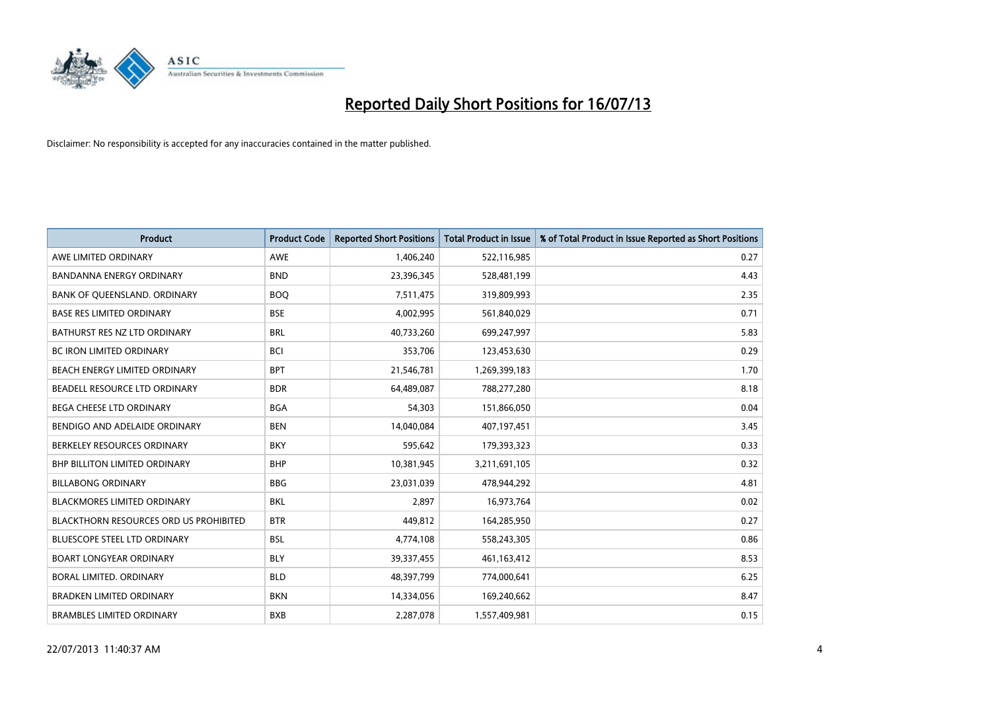

| <b>Product</b>                                | <b>Product Code</b> | <b>Reported Short Positions</b> | <b>Total Product in Issue</b> | % of Total Product in Issue Reported as Short Positions |
|-----------------------------------------------|---------------------|---------------------------------|-------------------------------|---------------------------------------------------------|
| AWE LIMITED ORDINARY                          | AWE                 | 1,406,240                       | 522,116,985                   | 0.27                                                    |
| BANDANNA ENERGY ORDINARY                      | <b>BND</b>          | 23,396,345                      | 528,481,199                   | 4.43                                                    |
| BANK OF QUEENSLAND. ORDINARY                  | <b>BOQ</b>          | 7,511,475                       | 319,809,993                   | 2.35                                                    |
| <b>BASE RES LIMITED ORDINARY</b>              | <b>BSE</b>          | 4,002,995                       | 561,840,029                   | 0.71                                                    |
| BATHURST RES NZ LTD ORDINARY                  | <b>BRL</b>          | 40,733,260                      | 699,247,997                   | 5.83                                                    |
| <b>BC IRON LIMITED ORDINARY</b>               | <b>BCI</b>          | 353,706                         | 123,453,630                   | 0.29                                                    |
| BEACH ENERGY LIMITED ORDINARY                 | <b>BPT</b>          | 21,546,781                      | 1,269,399,183                 | 1.70                                                    |
| BEADELL RESOURCE LTD ORDINARY                 | <b>BDR</b>          | 64,489,087                      | 788,277,280                   | 8.18                                                    |
| BEGA CHEESE LTD ORDINARY                      | <b>BGA</b>          | 54,303                          | 151,866,050                   | 0.04                                                    |
| BENDIGO AND ADELAIDE ORDINARY                 | <b>BEN</b>          | 14,040,084                      | 407,197,451                   | 3.45                                                    |
| BERKELEY RESOURCES ORDINARY                   | <b>BKY</b>          | 595,642                         | 179,393,323                   | 0.33                                                    |
| <b>BHP BILLITON LIMITED ORDINARY</b>          | <b>BHP</b>          | 10,381,945                      | 3,211,691,105                 | 0.32                                                    |
| <b>BILLABONG ORDINARY</b>                     | <b>BBG</b>          | 23,031,039                      | 478,944,292                   | 4.81                                                    |
| <b>BLACKMORES LIMITED ORDINARY</b>            | <b>BKL</b>          | 2,897                           | 16,973,764                    | 0.02                                                    |
| <b>BLACKTHORN RESOURCES ORD US PROHIBITED</b> | <b>BTR</b>          | 449,812                         | 164,285,950                   | 0.27                                                    |
| BLUESCOPE STEEL LTD ORDINARY                  | BSL                 | 4,774,108                       | 558,243,305                   | 0.86                                                    |
| <b>BOART LONGYEAR ORDINARY</b>                | <b>BLY</b>          | 39,337,455                      | 461,163,412                   | 8.53                                                    |
| <b>BORAL LIMITED, ORDINARY</b>                | <b>BLD</b>          | 48,397,799                      | 774,000,641                   | 6.25                                                    |
| <b>BRADKEN LIMITED ORDINARY</b>               | <b>BKN</b>          | 14,334,056                      | 169,240,662                   | 8.47                                                    |
| <b>BRAMBLES LIMITED ORDINARY</b>              | <b>BXB</b>          | 2,287,078                       | 1,557,409,981                 | 0.15                                                    |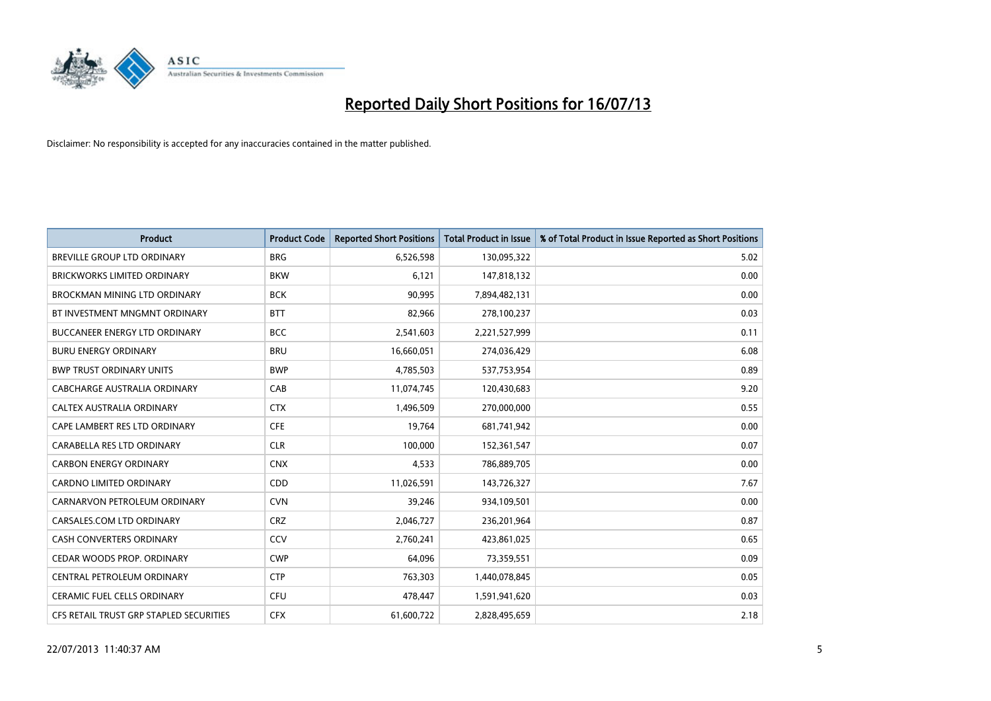

| <b>Product</b>                          | <b>Product Code</b> | <b>Reported Short Positions</b> | <b>Total Product in Issue</b> | % of Total Product in Issue Reported as Short Positions |
|-----------------------------------------|---------------------|---------------------------------|-------------------------------|---------------------------------------------------------|
| <b>BREVILLE GROUP LTD ORDINARY</b>      | <b>BRG</b>          | 6,526,598                       | 130,095,322                   | 5.02                                                    |
| <b>BRICKWORKS LIMITED ORDINARY</b>      | <b>BKW</b>          | 6,121                           | 147,818,132                   | 0.00                                                    |
| <b>BROCKMAN MINING LTD ORDINARY</b>     | <b>BCK</b>          | 90,995                          | 7,894,482,131                 | 0.00                                                    |
| BT INVESTMENT MNGMNT ORDINARY           | <b>BTT</b>          | 82,966                          | 278,100,237                   | 0.03                                                    |
| <b>BUCCANEER ENERGY LTD ORDINARY</b>    | <b>BCC</b>          | 2,541,603                       | 2,221,527,999                 | 0.11                                                    |
| <b>BURU ENERGY ORDINARY</b>             | <b>BRU</b>          | 16,660,051                      | 274,036,429                   | 6.08                                                    |
| <b>BWP TRUST ORDINARY UNITS</b>         | <b>BWP</b>          | 4,785,503                       | 537,753,954                   | 0.89                                                    |
| <b>CABCHARGE AUSTRALIA ORDINARY</b>     | CAB                 | 11,074,745                      | 120,430,683                   | 9.20                                                    |
| CALTEX AUSTRALIA ORDINARY               | <b>CTX</b>          | 1,496,509                       | 270,000,000                   | 0.55                                                    |
| CAPE LAMBERT RES LTD ORDINARY           | <b>CFE</b>          | 19,764                          | 681,741,942                   | 0.00                                                    |
| CARABELLA RES LTD ORDINARY              | <b>CLR</b>          | 100,000                         | 152,361,547                   | 0.07                                                    |
| <b>CARBON ENERGY ORDINARY</b>           | <b>CNX</b>          | 4,533                           | 786,889,705                   | 0.00                                                    |
| CARDNO LIMITED ORDINARY                 | CDD                 | 11,026,591                      | 143,726,327                   | 7.67                                                    |
| CARNARVON PETROLEUM ORDINARY            | <b>CVN</b>          | 39,246                          | 934,109,501                   | 0.00                                                    |
| CARSALES.COM LTD ORDINARY               | <b>CRZ</b>          | 2,046,727                       | 236,201,964                   | 0.87                                                    |
| CASH CONVERTERS ORDINARY                | CCV                 | 2,760,241                       | 423,861,025                   | 0.65                                                    |
| CEDAR WOODS PROP. ORDINARY              | <b>CWP</b>          | 64,096                          | 73,359,551                    | 0.09                                                    |
| CENTRAL PETROLEUM ORDINARY              | <b>CTP</b>          | 763,303                         | 1,440,078,845                 | 0.05                                                    |
| <b>CERAMIC FUEL CELLS ORDINARY</b>      | <b>CFU</b>          | 478,447                         | 1,591,941,620                 | 0.03                                                    |
| CFS RETAIL TRUST GRP STAPLED SECURITIES | <b>CFX</b>          | 61,600,722                      | 2,828,495,659                 | 2.18                                                    |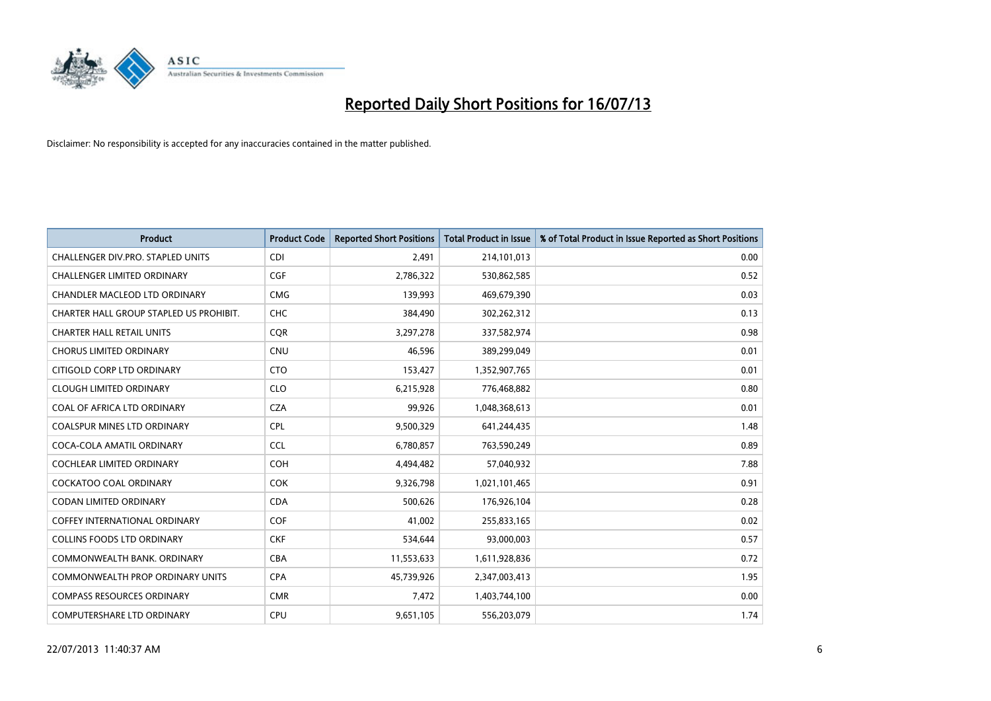

| <b>Product</b>                          | <b>Product Code</b> | <b>Reported Short Positions</b> | <b>Total Product in Issue</b> | % of Total Product in Issue Reported as Short Positions |
|-----------------------------------------|---------------------|---------------------------------|-------------------------------|---------------------------------------------------------|
| CHALLENGER DIV.PRO. STAPLED UNITS       | <b>CDI</b>          | 2,491                           | 214,101,013                   | 0.00                                                    |
| CHALLENGER LIMITED ORDINARY             | <b>CGF</b>          | 2,786,322                       | 530,862,585                   | 0.52                                                    |
| CHANDLER MACLEOD LTD ORDINARY           | <b>CMG</b>          | 139,993                         | 469,679,390                   | 0.03                                                    |
| CHARTER HALL GROUP STAPLED US PROHIBIT. | <b>CHC</b>          | 384,490                         | 302,262,312                   | 0.13                                                    |
| <b>CHARTER HALL RETAIL UNITS</b>        | <b>COR</b>          | 3,297,278                       | 337,582,974                   | 0.98                                                    |
| <b>CHORUS LIMITED ORDINARY</b>          | <b>CNU</b>          | 46,596                          | 389,299,049                   | 0.01                                                    |
| CITIGOLD CORP LTD ORDINARY              | <b>CTO</b>          | 153,427                         | 1,352,907,765                 | 0.01                                                    |
| <b>CLOUGH LIMITED ORDINARY</b>          | <b>CLO</b>          | 6,215,928                       | 776,468,882                   | 0.80                                                    |
| COAL OF AFRICA LTD ORDINARY             | <b>CZA</b>          | 99,926                          | 1,048,368,613                 | 0.01                                                    |
| <b>COALSPUR MINES LTD ORDINARY</b>      | <b>CPL</b>          | 9,500,329                       | 641,244,435                   | 1.48                                                    |
| COCA-COLA AMATIL ORDINARY               | <b>CCL</b>          | 6,780,857                       | 763,590,249                   | 0.89                                                    |
| COCHLEAR LIMITED ORDINARY               | <b>COH</b>          | 4,494,482                       | 57,040,932                    | 7.88                                                    |
| <b>COCKATOO COAL ORDINARY</b>           | <b>COK</b>          | 9,326,798                       | 1,021,101,465                 | 0.91                                                    |
| <b>CODAN LIMITED ORDINARY</b>           | <b>CDA</b>          | 500,626                         | 176,926,104                   | 0.28                                                    |
| <b>COFFEY INTERNATIONAL ORDINARY</b>    | COF                 | 41,002                          | 255,833,165                   | 0.02                                                    |
| <b>COLLINS FOODS LTD ORDINARY</b>       | <b>CKF</b>          | 534,644                         | 93,000,003                    | 0.57                                                    |
| COMMONWEALTH BANK, ORDINARY             | <b>CBA</b>          | 11,553,633                      | 1,611,928,836                 | 0.72                                                    |
| <b>COMMONWEALTH PROP ORDINARY UNITS</b> | <b>CPA</b>          | 45,739,926                      | 2,347,003,413                 | 1.95                                                    |
| <b>COMPASS RESOURCES ORDINARY</b>       | <b>CMR</b>          | 7,472                           | 1,403,744,100                 | 0.00                                                    |
| <b>COMPUTERSHARE LTD ORDINARY</b>       | <b>CPU</b>          | 9,651,105                       | 556,203,079                   | 1.74                                                    |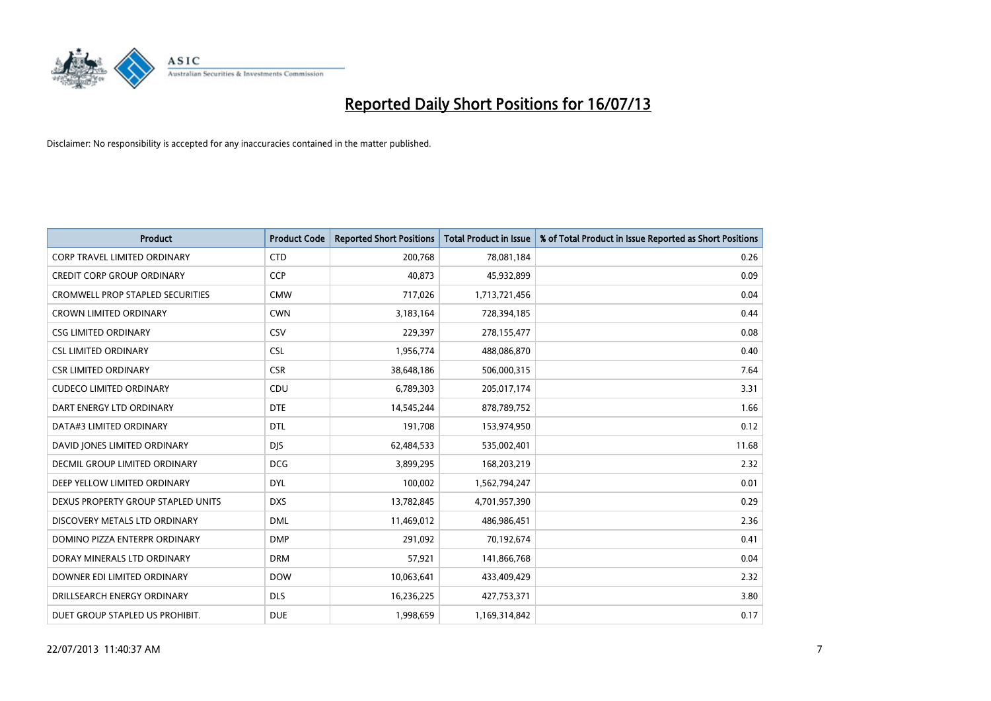

| <b>Product</b>                          | <b>Product Code</b> | <b>Reported Short Positions</b> | <b>Total Product in Issue</b> | % of Total Product in Issue Reported as Short Positions |
|-----------------------------------------|---------------------|---------------------------------|-------------------------------|---------------------------------------------------------|
| <b>CORP TRAVEL LIMITED ORDINARY</b>     | <b>CTD</b>          | 200,768                         | 78,081,184                    | 0.26                                                    |
| CREDIT CORP GROUP ORDINARY              | <b>CCP</b>          | 40,873                          | 45,932,899                    | 0.09                                                    |
| <b>CROMWELL PROP STAPLED SECURITIES</b> | <b>CMW</b>          | 717,026                         | 1,713,721,456                 | 0.04                                                    |
| CROWN LIMITED ORDINARY                  | <b>CWN</b>          | 3,183,164                       | 728,394,185                   | 0.44                                                    |
| <b>CSG LIMITED ORDINARY</b>             | CSV                 | 229,397                         | 278,155,477                   | 0.08                                                    |
| <b>CSL LIMITED ORDINARY</b>             | <b>CSL</b>          | 1,956,774                       | 488,086,870                   | 0.40                                                    |
| <b>CSR LIMITED ORDINARY</b>             | <b>CSR</b>          | 38,648,186                      | 506,000,315                   | 7.64                                                    |
| <b>CUDECO LIMITED ORDINARY</b>          | CDU                 | 6,789,303                       | 205,017,174                   | 3.31                                                    |
| DART ENERGY LTD ORDINARY                | <b>DTE</b>          | 14,545,244                      | 878,789,752                   | 1.66                                                    |
| DATA#3 LIMITED ORDINARY                 | <b>DTL</b>          | 191,708                         | 153,974,950                   | 0.12                                                    |
| DAVID JONES LIMITED ORDINARY            | <b>DJS</b>          | 62,484,533                      | 535,002,401                   | 11.68                                                   |
| <b>DECMIL GROUP LIMITED ORDINARY</b>    | <b>DCG</b>          | 3,899,295                       | 168,203,219                   | 2.32                                                    |
| DEEP YELLOW LIMITED ORDINARY            | <b>DYL</b>          | 100,002                         | 1,562,794,247                 | 0.01                                                    |
| DEXUS PROPERTY GROUP STAPLED UNITS      | <b>DXS</b>          | 13,782,845                      | 4,701,957,390                 | 0.29                                                    |
| DISCOVERY METALS LTD ORDINARY           | <b>DML</b>          | 11,469,012                      | 486,986,451                   | 2.36                                                    |
| DOMINO PIZZA ENTERPR ORDINARY           | <b>DMP</b>          | 291,092                         | 70,192,674                    | 0.41                                                    |
| DORAY MINERALS LTD ORDINARY             | <b>DRM</b>          | 57,921                          | 141,866,768                   | 0.04                                                    |
| DOWNER EDI LIMITED ORDINARY             | <b>DOW</b>          | 10,063,641                      | 433,409,429                   | 2.32                                                    |
| DRILLSEARCH ENERGY ORDINARY             | <b>DLS</b>          | 16,236,225                      | 427,753,371                   | 3.80                                                    |
| DUET GROUP STAPLED US PROHIBIT.         | <b>DUE</b>          | 1,998,659                       | 1,169,314,842                 | 0.17                                                    |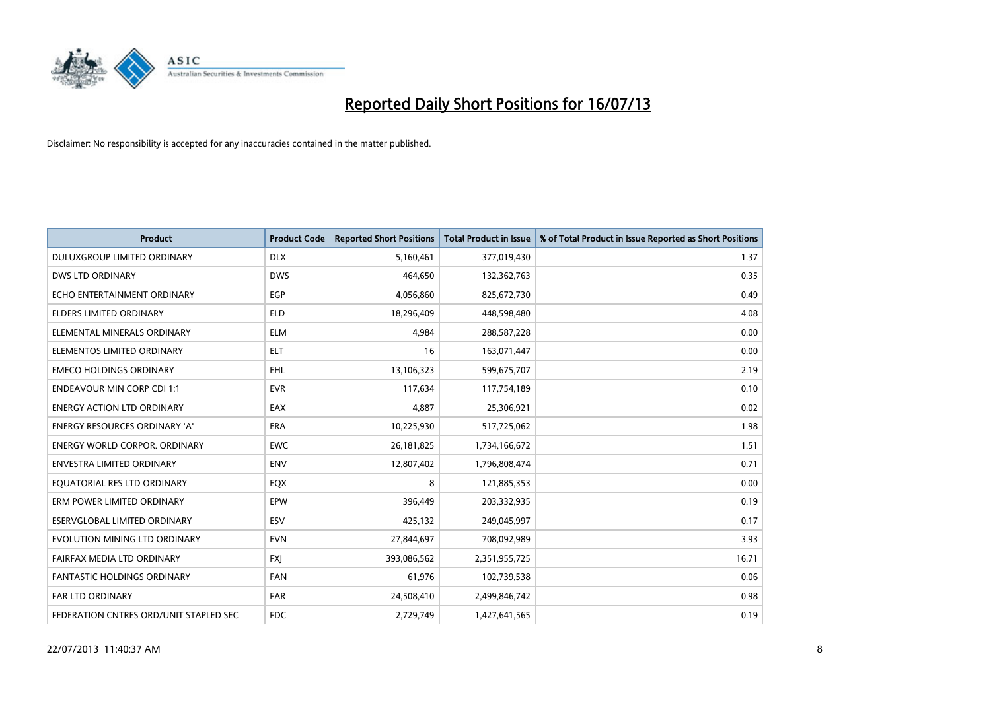

| <b>Product</b>                         | <b>Product Code</b> | <b>Reported Short Positions</b> | <b>Total Product in Issue</b> | % of Total Product in Issue Reported as Short Positions |
|----------------------------------------|---------------------|---------------------------------|-------------------------------|---------------------------------------------------------|
| DULUXGROUP LIMITED ORDINARY            | <b>DLX</b>          | 5,160,461                       | 377,019,430                   | 1.37                                                    |
| DWS LTD ORDINARY                       | <b>DWS</b>          | 464,650                         | 132,362,763                   | 0.35                                                    |
| ECHO ENTERTAINMENT ORDINARY            | <b>EGP</b>          | 4,056,860                       | 825,672,730                   | 0.49                                                    |
| <b>ELDERS LIMITED ORDINARY</b>         | <b>ELD</b>          | 18,296,409                      | 448,598,480                   | 4.08                                                    |
| ELEMENTAL MINERALS ORDINARY            | <b>ELM</b>          | 4,984                           | 288,587,228                   | 0.00                                                    |
| ELEMENTOS LIMITED ORDINARY             | <b>ELT</b>          | 16                              | 163,071,447                   | 0.00                                                    |
| <b>EMECO HOLDINGS ORDINARY</b>         | <b>EHL</b>          | 13,106,323                      | 599,675,707                   | 2.19                                                    |
| <b>ENDEAVOUR MIN CORP CDI 1:1</b>      | <b>EVR</b>          | 117,634                         | 117,754,189                   | 0.10                                                    |
| <b>ENERGY ACTION LTD ORDINARY</b>      | EAX                 | 4,887                           | 25,306,921                    | 0.02                                                    |
| <b>ENERGY RESOURCES ORDINARY 'A'</b>   | <b>ERA</b>          | 10,225,930                      | 517,725,062                   | 1.98                                                    |
| <b>ENERGY WORLD CORPOR, ORDINARY</b>   | EWC                 | 26, 181, 825                    | 1,734,166,672                 | 1.51                                                    |
| ENVESTRA LIMITED ORDINARY              | <b>ENV</b>          | 12,807,402                      | 1,796,808,474                 | 0.71                                                    |
| EQUATORIAL RES LTD ORDINARY            | EQX                 | 8                               | 121,885,353                   | 0.00                                                    |
| ERM POWER LIMITED ORDINARY             | EPW                 | 396,449                         | 203,332,935                   | 0.19                                                    |
| <b>ESERVGLOBAL LIMITED ORDINARY</b>    | ESV                 | 425,132                         | 249,045,997                   | 0.17                                                    |
| EVOLUTION MINING LTD ORDINARY          | <b>EVN</b>          | 27,844,697                      | 708,092,989                   | 3.93                                                    |
| FAIRFAX MEDIA LTD ORDINARY             | <b>FXI</b>          | 393,086,562                     | 2,351,955,725                 | 16.71                                                   |
| FANTASTIC HOLDINGS ORDINARY            | <b>FAN</b>          | 61,976                          | 102,739,538                   | 0.06                                                    |
| FAR LTD ORDINARY                       | <b>FAR</b>          | 24,508,410                      | 2,499,846,742                 | 0.98                                                    |
| FEDERATION CNTRES ORD/UNIT STAPLED SEC | <b>FDC</b>          | 2,729,749                       | 1,427,641,565                 | 0.19                                                    |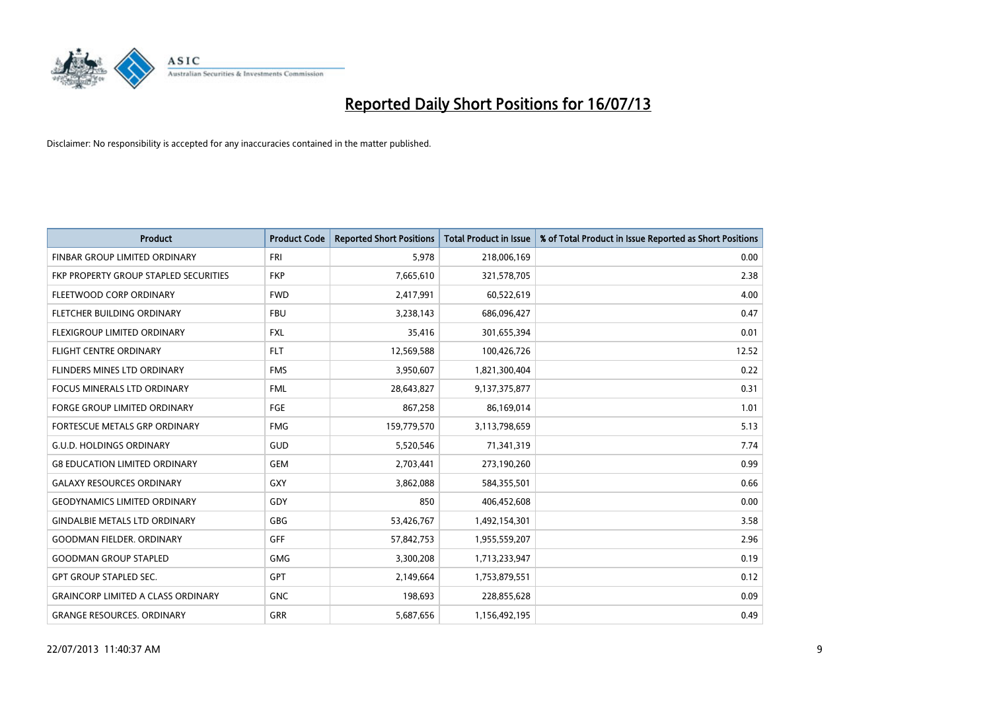

| <b>Product</b>                            | <b>Product Code</b> | <b>Reported Short Positions</b> | <b>Total Product in Issue</b> | % of Total Product in Issue Reported as Short Positions |
|-------------------------------------------|---------------------|---------------------------------|-------------------------------|---------------------------------------------------------|
| FINBAR GROUP LIMITED ORDINARY             | <b>FRI</b>          | 5,978                           | 218,006,169                   | 0.00                                                    |
| FKP PROPERTY GROUP STAPLED SECURITIES     | <b>FKP</b>          | 7,665,610                       | 321,578,705                   | 2.38                                                    |
| FLEETWOOD CORP ORDINARY                   | <b>FWD</b>          | 2,417,991                       | 60,522,619                    | 4.00                                                    |
| FLETCHER BUILDING ORDINARY                | <b>FBU</b>          | 3,238,143                       | 686,096,427                   | 0.47                                                    |
| FLEXIGROUP LIMITED ORDINARY               | <b>FXL</b>          | 35,416                          | 301,655,394                   | 0.01                                                    |
| <b>FLIGHT CENTRE ORDINARY</b>             | <b>FLT</b>          | 12,569,588                      | 100,426,726                   | 12.52                                                   |
| FLINDERS MINES LTD ORDINARY               | <b>FMS</b>          | 3,950,607                       | 1,821,300,404                 | 0.22                                                    |
| <b>FOCUS MINERALS LTD ORDINARY</b>        | <b>FML</b>          | 28,643,827                      | 9,137,375,877                 | 0.31                                                    |
| <b>FORGE GROUP LIMITED ORDINARY</b>       | FGE                 | 867,258                         | 86,169,014                    | 1.01                                                    |
| FORTESCUE METALS GRP ORDINARY             | <b>FMG</b>          | 159,779,570                     | 3,113,798,659                 | 5.13                                                    |
| <b>G.U.D. HOLDINGS ORDINARY</b>           | GUD                 | 5,520,546                       | 71,341,319                    | 7.74                                                    |
| <b>G8 EDUCATION LIMITED ORDINARY</b>      | <b>GEM</b>          | 2,703,441                       | 273,190,260                   | 0.99                                                    |
| <b>GALAXY RESOURCES ORDINARY</b>          | GXY                 | 3,862,088                       | 584,355,501                   | 0.66                                                    |
| <b>GEODYNAMICS LIMITED ORDINARY</b>       | GDY                 | 850                             | 406,452,608                   | 0.00                                                    |
| <b>GINDALBIE METALS LTD ORDINARY</b>      | GBG                 | 53,426,767                      | 1,492,154,301                 | 3.58                                                    |
| <b>GOODMAN FIELDER, ORDINARY</b>          | <b>GFF</b>          | 57,842,753                      | 1,955,559,207                 | 2.96                                                    |
| <b>GOODMAN GROUP STAPLED</b>              | GMG                 | 3,300,208                       | 1,713,233,947                 | 0.19                                                    |
| <b>GPT GROUP STAPLED SEC.</b>             | <b>GPT</b>          | 2,149,664                       | 1,753,879,551                 | 0.12                                                    |
| <b>GRAINCORP LIMITED A CLASS ORDINARY</b> | <b>GNC</b>          | 198,693                         | 228,855,628                   | 0.09                                                    |
| <b>GRANGE RESOURCES, ORDINARY</b>         | GRR                 | 5,687,656                       | 1,156,492,195                 | 0.49                                                    |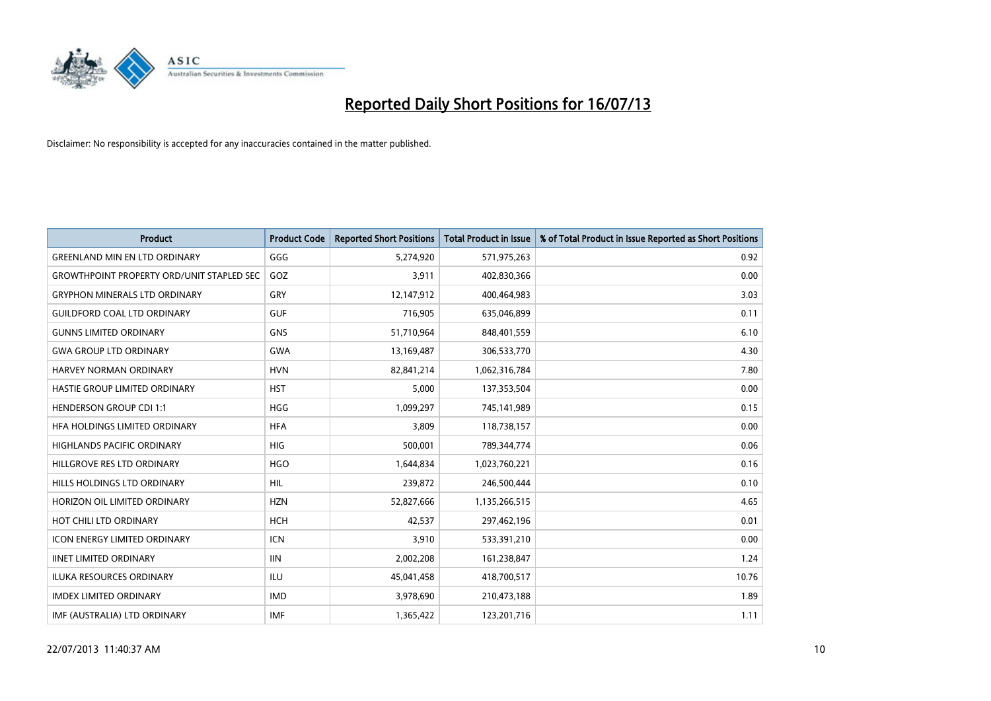

| <b>Product</b>                                   | <b>Product Code</b> | <b>Reported Short Positions</b> | <b>Total Product in Issue</b> | % of Total Product in Issue Reported as Short Positions |
|--------------------------------------------------|---------------------|---------------------------------|-------------------------------|---------------------------------------------------------|
| <b>GREENLAND MIN EN LTD ORDINARY</b>             | GGG                 | 5,274,920                       | 571,975,263                   | 0.92                                                    |
| <b>GROWTHPOINT PROPERTY ORD/UNIT STAPLED SEC</b> | GOZ                 | 3,911                           | 402,830,366                   | 0.00                                                    |
| <b>GRYPHON MINERALS LTD ORDINARY</b>             | GRY                 | 12,147,912                      | 400,464,983                   | 3.03                                                    |
| <b>GUILDFORD COAL LTD ORDINARY</b>               | <b>GUF</b>          | 716,905                         | 635,046,899                   | 0.11                                                    |
| <b>GUNNS LIMITED ORDINARY</b>                    | <b>GNS</b>          | 51,710,964                      | 848,401,559                   | 6.10                                                    |
| <b>GWA GROUP LTD ORDINARY</b>                    | <b>GWA</b>          | 13,169,487                      | 306,533,770                   | 4.30                                                    |
| <b>HARVEY NORMAN ORDINARY</b>                    | <b>HVN</b>          | 82,841,214                      | 1,062,316,784                 | 7.80                                                    |
| <b>HASTIE GROUP LIMITED ORDINARY</b>             | <b>HST</b>          | 5,000                           | 137,353,504                   | 0.00                                                    |
| <b>HENDERSON GROUP CDI 1:1</b>                   | <b>HGG</b>          | 1,099,297                       | 745,141,989                   | 0.15                                                    |
| HEA HOLDINGS LIMITED ORDINARY                    | <b>HFA</b>          | 3,809                           | 118,738,157                   | 0.00                                                    |
| <b>HIGHLANDS PACIFIC ORDINARY</b>                | <b>HIG</b>          | 500,001                         | 789,344,774                   | 0.06                                                    |
| HILLGROVE RES LTD ORDINARY                       | <b>HGO</b>          | 1,644,834                       | 1,023,760,221                 | 0.16                                                    |
| HILLS HOLDINGS LTD ORDINARY                      | <b>HIL</b>          | 239,872                         | 246,500,444                   | 0.10                                                    |
| HORIZON OIL LIMITED ORDINARY                     | <b>HZN</b>          | 52,827,666                      | 1,135,266,515                 | 4.65                                                    |
| HOT CHILI LTD ORDINARY                           | <b>HCH</b>          | 42,537                          | 297,462,196                   | 0.01                                                    |
| <b>ICON ENERGY LIMITED ORDINARY</b>              | <b>ICN</b>          | 3,910                           | 533,391,210                   | 0.00                                                    |
| <b>IINET LIMITED ORDINARY</b>                    | <b>IIN</b>          | 2,002,208                       | 161,238,847                   | 1.24                                                    |
| ILUKA RESOURCES ORDINARY                         | ILU                 | 45,041,458                      | 418,700,517                   | 10.76                                                   |
| <b>IMDEX LIMITED ORDINARY</b>                    | <b>IMD</b>          | 3,978,690                       | 210,473,188                   | 1.89                                                    |
| IMF (AUSTRALIA) LTD ORDINARY                     | <b>IMF</b>          | 1,365,422                       | 123,201,716                   | 1.11                                                    |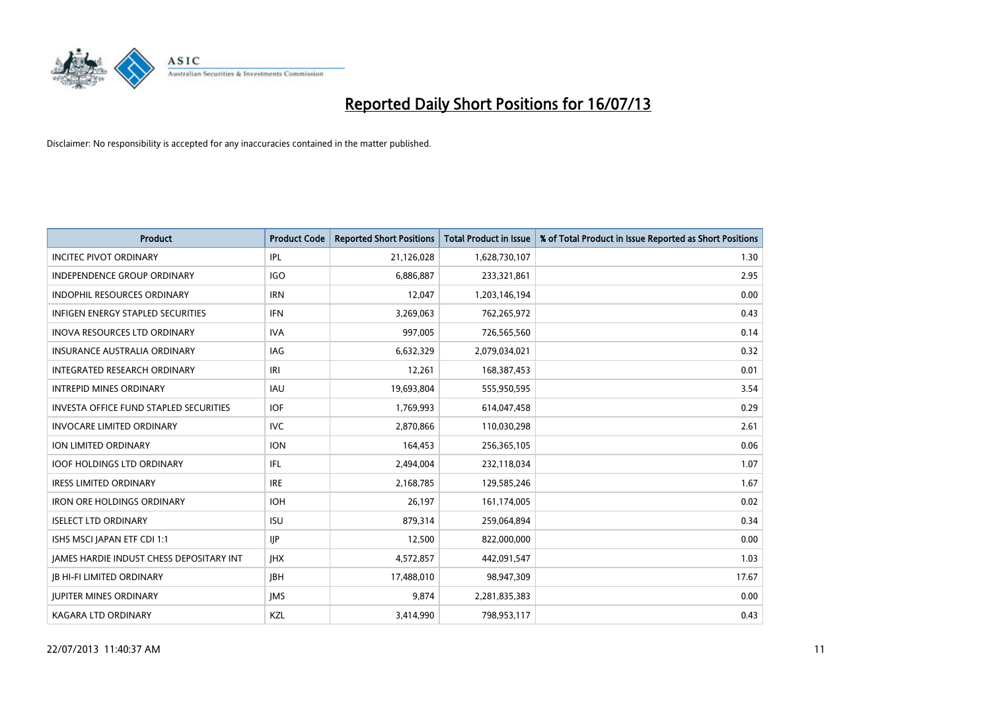

| <b>Product</b>                           | <b>Product Code</b> | <b>Reported Short Positions</b> | <b>Total Product in Issue</b> | % of Total Product in Issue Reported as Short Positions |
|------------------------------------------|---------------------|---------------------------------|-------------------------------|---------------------------------------------------------|
| <b>INCITEC PIVOT ORDINARY</b>            | IPL                 | 21,126,028                      | 1,628,730,107                 | 1.30                                                    |
| <b>INDEPENDENCE GROUP ORDINARY</b>       | <b>IGO</b>          | 6,886,887                       | 233,321,861                   | 2.95                                                    |
| <b>INDOPHIL RESOURCES ORDINARY</b>       | <b>IRN</b>          | 12,047                          | 1,203,146,194                 | 0.00                                                    |
| INFIGEN ENERGY STAPLED SECURITIES        | <b>IFN</b>          | 3,269,063                       | 762,265,972                   | 0.43                                                    |
| <b>INOVA RESOURCES LTD ORDINARY</b>      | <b>IVA</b>          | 997,005                         | 726,565,560                   | 0.14                                                    |
| <b>INSURANCE AUSTRALIA ORDINARY</b>      | <b>IAG</b>          | 6,632,329                       | 2,079,034,021                 | 0.32                                                    |
| INTEGRATED RESEARCH ORDINARY             | IRI                 | 12,261                          | 168,387,453                   | 0.01                                                    |
| <b>INTREPID MINES ORDINARY</b>           | <b>IAU</b>          | 19,693,804                      | 555,950,595                   | 3.54                                                    |
| INVESTA OFFICE FUND STAPLED SECURITIES   | <b>IOF</b>          | 1,769,993                       | 614,047,458                   | 0.29                                                    |
| <b>INVOCARE LIMITED ORDINARY</b>         | <b>IVC</b>          | 2,870,866                       | 110,030,298                   | 2.61                                                    |
| ION LIMITED ORDINARY                     | <b>ION</b>          | 164,453                         | 256,365,105                   | 0.06                                                    |
| <b>IOOF HOLDINGS LTD ORDINARY</b>        | IFL                 | 2,494,004                       | 232,118,034                   | 1.07                                                    |
| <b>IRESS LIMITED ORDINARY</b>            | <b>IRE</b>          | 2,168,785                       | 129,585,246                   | 1.67                                                    |
| <b>IRON ORE HOLDINGS ORDINARY</b>        | <b>IOH</b>          | 26.197                          | 161,174,005                   | 0.02                                                    |
| <b>ISELECT LTD ORDINARY</b>              | <b>ISU</b>          | 879,314                         | 259,064,894                   | 0.34                                                    |
| ISHS MSCI JAPAN ETF CDI 1:1              | <b>IIP</b>          | 12,500                          | 822,000,000                   | 0.00                                                    |
| JAMES HARDIE INDUST CHESS DEPOSITARY INT | <b>IHX</b>          | 4,572,857                       | 442,091,547                   | 1.03                                                    |
| <b>JB HI-FI LIMITED ORDINARY</b>         | <b>IBH</b>          | 17,488,010                      | 98,947,309                    | 17.67                                                   |
| <b>JUPITER MINES ORDINARY</b>            | <b>IMS</b>          | 9,874                           | 2,281,835,383                 | 0.00                                                    |
| <b>KAGARA LTD ORDINARY</b>               | KZL                 | 3,414,990                       | 798,953,117                   | 0.43                                                    |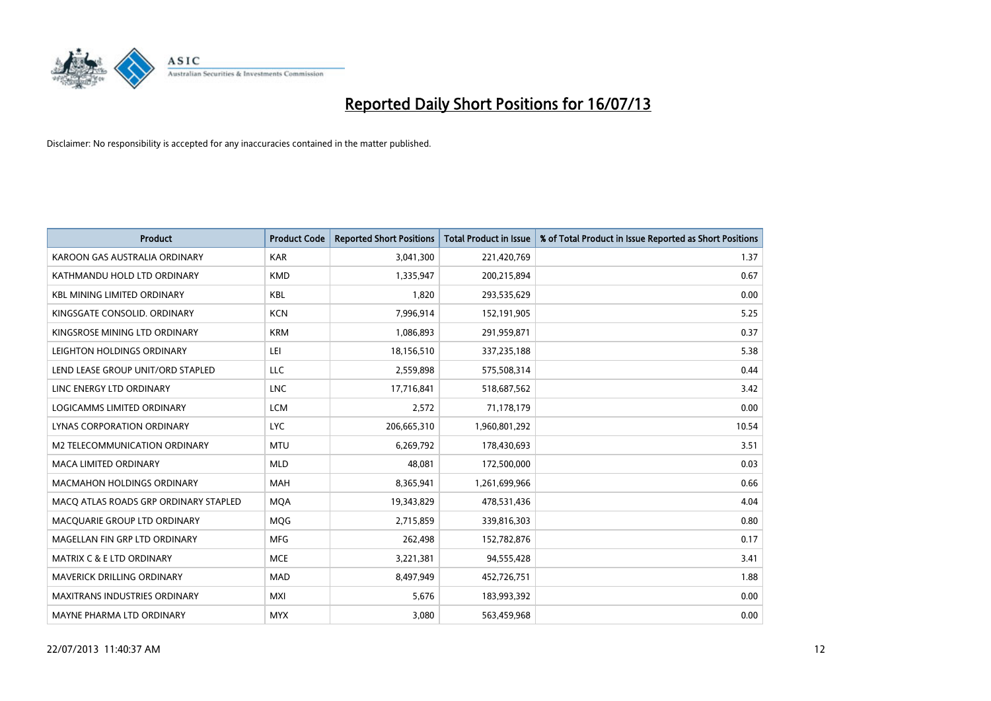

| <b>Product</b>                        | <b>Product Code</b> | <b>Reported Short Positions</b> | <b>Total Product in Issue</b> | % of Total Product in Issue Reported as Short Positions |
|---------------------------------------|---------------------|---------------------------------|-------------------------------|---------------------------------------------------------|
| KAROON GAS AUSTRALIA ORDINARY         | <b>KAR</b>          | 3,041,300                       | 221,420,769                   | 1.37                                                    |
| KATHMANDU HOLD LTD ORDINARY           | <b>KMD</b>          | 1,335,947                       | 200,215,894                   | 0.67                                                    |
| <b>KBL MINING LIMITED ORDINARY</b>    | <b>KBL</b>          | 1,820                           | 293,535,629                   | 0.00                                                    |
| KINGSGATE CONSOLID. ORDINARY          | <b>KCN</b>          | 7,996,914                       | 152,191,905                   | 5.25                                                    |
| KINGSROSE MINING LTD ORDINARY         | <b>KRM</b>          | 1,086,893                       | 291,959,871                   | 0.37                                                    |
| LEIGHTON HOLDINGS ORDINARY            | LEI                 | 18,156,510                      | 337,235,188                   | 5.38                                                    |
| LEND LEASE GROUP UNIT/ORD STAPLED     | <b>LLC</b>          | 2,559,898                       | 575,508,314                   | 0.44                                                    |
| LINC ENERGY LTD ORDINARY              | <b>LNC</b>          | 17,716,841                      | 518,687,562                   | 3.42                                                    |
| LOGICAMMS LIMITED ORDINARY            | <b>LCM</b>          | 2,572                           | 71,178,179                    | 0.00                                                    |
| LYNAS CORPORATION ORDINARY            | <b>LYC</b>          | 206,665,310                     | 1,960,801,292                 | 10.54                                                   |
| <b>M2 TELECOMMUNICATION ORDINARY</b>  | <b>MTU</b>          | 6,269,792                       | 178,430,693                   | 3.51                                                    |
| <b>MACA LIMITED ORDINARY</b>          | <b>MLD</b>          | 48,081                          | 172,500,000                   | 0.03                                                    |
| <b>MACMAHON HOLDINGS ORDINARY</b>     | <b>MAH</b>          | 8,365,941                       | 1,261,699,966                 | 0.66                                                    |
| MACO ATLAS ROADS GRP ORDINARY STAPLED | <b>MOA</b>          | 19,343,829                      | 478,531,436                   | 4.04                                                    |
| MACQUARIE GROUP LTD ORDINARY          | <b>MOG</b>          | 2,715,859                       | 339,816,303                   | 0.80                                                    |
| MAGELLAN FIN GRP LTD ORDINARY         | <b>MFG</b>          | 262,498                         | 152,782,876                   | 0.17                                                    |
| <b>MATRIX C &amp; E LTD ORDINARY</b>  | <b>MCE</b>          | 3,221,381                       | 94,555,428                    | 3.41                                                    |
| MAVERICK DRILLING ORDINARY            | <b>MAD</b>          | 8,497,949                       | 452,726,751                   | 1.88                                                    |
| <b>MAXITRANS INDUSTRIES ORDINARY</b>  | <b>MXI</b>          | 5,676                           | 183,993,392                   | 0.00                                                    |
| MAYNE PHARMA LTD ORDINARY             | <b>MYX</b>          | 3,080                           | 563,459,968                   | 0.00                                                    |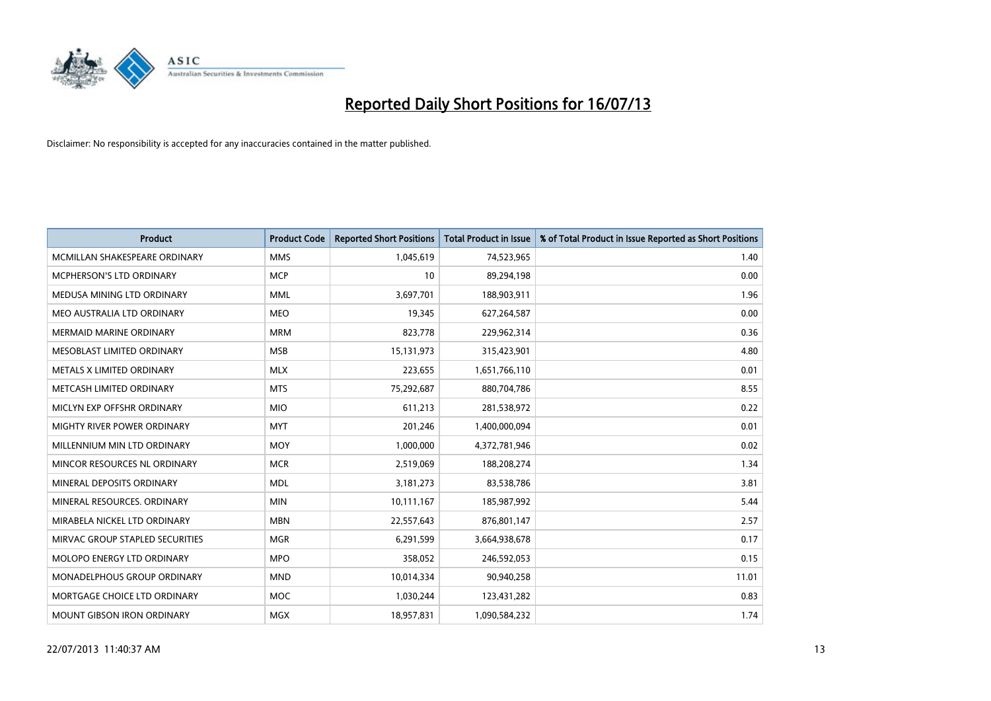

| <b>Product</b>                  | <b>Product Code</b> | <b>Reported Short Positions</b> | <b>Total Product in Issue</b> | % of Total Product in Issue Reported as Short Positions |
|---------------------------------|---------------------|---------------------------------|-------------------------------|---------------------------------------------------------|
| MCMILLAN SHAKESPEARE ORDINARY   | <b>MMS</b>          | 1,045,619                       | 74,523,965                    | 1.40                                                    |
| MCPHERSON'S LTD ORDINARY        | <b>MCP</b>          | 10                              | 89,294,198                    | 0.00                                                    |
| MEDUSA MINING LTD ORDINARY      | <b>MML</b>          | 3,697,701                       | 188,903,911                   | 1.96                                                    |
| MEO AUSTRALIA LTD ORDINARY      | <b>MEO</b>          | 19,345                          | 627,264,587                   | 0.00                                                    |
| <b>MERMAID MARINE ORDINARY</b>  | <b>MRM</b>          | 823,778                         | 229,962,314                   | 0.36                                                    |
| MESOBLAST LIMITED ORDINARY      | <b>MSB</b>          | 15,131,973                      | 315,423,901                   | 4.80                                                    |
| METALS X LIMITED ORDINARY       | <b>MLX</b>          | 223,655                         | 1,651,766,110                 | 0.01                                                    |
| METCASH LIMITED ORDINARY        | <b>MTS</b>          | 75,292,687                      | 880,704,786                   | 8.55                                                    |
| MICLYN EXP OFFSHR ORDINARY      | <b>MIO</b>          | 611,213                         | 281,538,972                   | 0.22                                                    |
| MIGHTY RIVER POWER ORDINARY     | <b>MYT</b>          | 201,246                         | 1,400,000,094                 | 0.01                                                    |
| MILLENNIUM MIN LTD ORDINARY     | <b>MOY</b>          | 1,000,000                       | 4,372,781,946                 | 0.02                                                    |
| MINCOR RESOURCES NL ORDINARY    | <b>MCR</b>          | 2,519,069                       | 188,208,274                   | 1.34                                                    |
| MINERAL DEPOSITS ORDINARY       | <b>MDL</b>          | 3,181,273                       | 83,538,786                    | 3.81                                                    |
| MINERAL RESOURCES, ORDINARY     | <b>MIN</b>          | 10,111,167                      | 185,987,992                   | 5.44                                                    |
| MIRABELA NICKEL LTD ORDINARY    | <b>MBN</b>          | 22,557,643                      | 876,801,147                   | 2.57                                                    |
| MIRVAC GROUP STAPLED SECURITIES | <b>MGR</b>          | 6,291,599                       | 3,664,938,678                 | 0.17                                                    |
| MOLOPO ENERGY LTD ORDINARY      | <b>MPO</b>          | 358,052                         | 246,592,053                   | 0.15                                                    |
| MONADELPHOUS GROUP ORDINARY     | <b>MND</b>          | 10,014,334                      | 90,940,258                    | 11.01                                                   |
| MORTGAGE CHOICE LTD ORDINARY    | <b>MOC</b>          | 1,030,244                       | 123,431,282                   | 0.83                                                    |
| MOUNT GIBSON IRON ORDINARY      | <b>MGX</b>          | 18,957,831                      | 1,090,584,232                 | 1.74                                                    |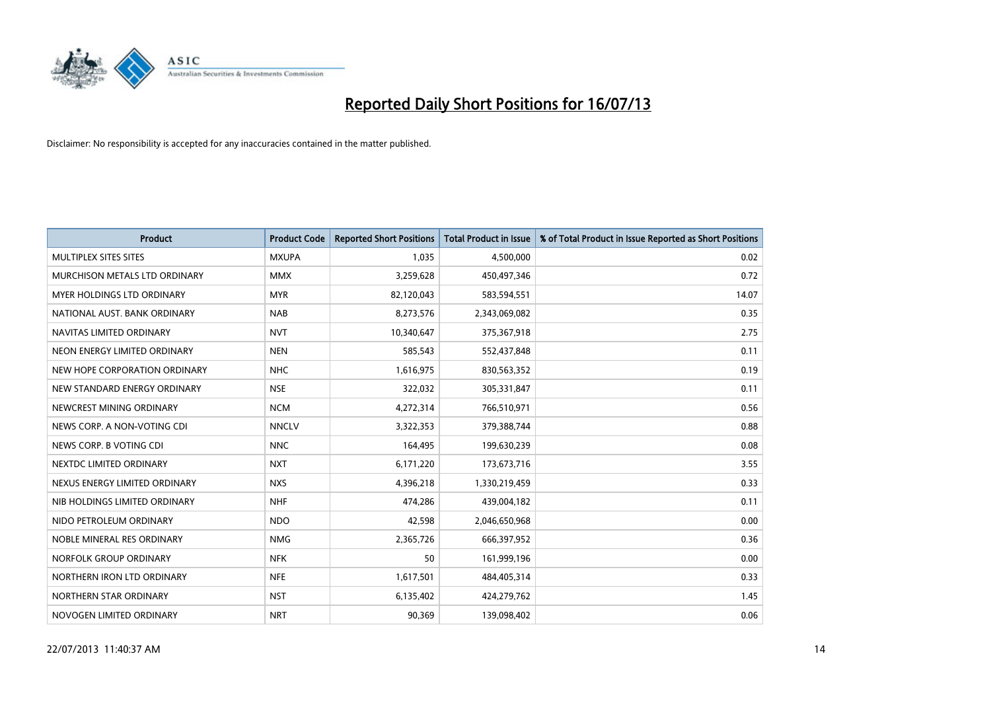

| <b>Product</b>                | <b>Product Code</b> | <b>Reported Short Positions</b> | <b>Total Product in Issue</b> | % of Total Product in Issue Reported as Short Positions |
|-------------------------------|---------------------|---------------------------------|-------------------------------|---------------------------------------------------------|
| MULTIPLEX SITES SITES         | <b>MXUPA</b>        | 1,035                           | 4,500,000                     | 0.02                                                    |
| MURCHISON METALS LTD ORDINARY | <b>MMX</b>          | 3,259,628                       | 450,497,346                   | 0.72                                                    |
| MYER HOLDINGS LTD ORDINARY    | <b>MYR</b>          | 82,120,043                      | 583,594,551                   | 14.07                                                   |
| NATIONAL AUST, BANK ORDINARY  | <b>NAB</b>          | 8,273,576                       | 2,343,069,082                 | 0.35                                                    |
| NAVITAS LIMITED ORDINARY      | <b>NVT</b>          | 10,340,647                      | 375,367,918                   | 2.75                                                    |
| NEON ENERGY LIMITED ORDINARY  | <b>NEN</b>          | 585,543                         | 552,437,848                   | 0.11                                                    |
| NEW HOPE CORPORATION ORDINARY | <b>NHC</b>          | 1,616,975                       | 830,563,352                   | 0.19                                                    |
| NEW STANDARD ENERGY ORDINARY  | <b>NSE</b>          | 322,032                         | 305,331,847                   | 0.11                                                    |
| NEWCREST MINING ORDINARY      | <b>NCM</b>          | 4,272,314                       | 766,510,971                   | 0.56                                                    |
| NEWS CORP. A NON-VOTING CDI   | <b>NNCLV</b>        | 3,322,353                       | 379,388,744                   | 0.88                                                    |
| NEWS CORP. B VOTING CDI       | <b>NNC</b>          | 164,495                         | 199,630,239                   | 0.08                                                    |
| NEXTDC LIMITED ORDINARY       | <b>NXT</b>          | 6,171,220                       | 173,673,716                   | 3.55                                                    |
| NEXUS ENERGY LIMITED ORDINARY | <b>NXS</b>          | 4,396,218                       | 1,330,219,459                 | 0.33                                                    |
| NIB HOLDINGS LIMITED ORDINARY | <b>NHF</b>          | 474,286                         | 439,004,182                   | 0.11                                                    |
| NIDO PETROLEUM ORDINARY       | <b>NDO</b>          | 42,598                          | 2,046,650,968                 | 0.00                                                    |
| NOBLE MINERAL RES ORDINARY    | <b>NMG</b>          | 2,365,726                       | 666,397,952                   | 0.36                                                    |
| NORFOLK GROUP ORDINARY        | <b>NFK</b>          | 50                              | 161,999,196                   | 0.00                                                    |
| NORTHERN IRON LTD ORDINARY    | <b>NFE</b>          | 1,617,501                       | 484,405,314                   | 0.33                                                    |
| NORTHERN STAR ORDINARY        | <b>NST</b>          | 6,135,402                       | 424,279,762                   | 1.45                                                    |
| NOVOGEN LIMITED ORDINARY      | <b>NRT</b>          | 90,369                          | 139,098,402                   | 0.06                                                    |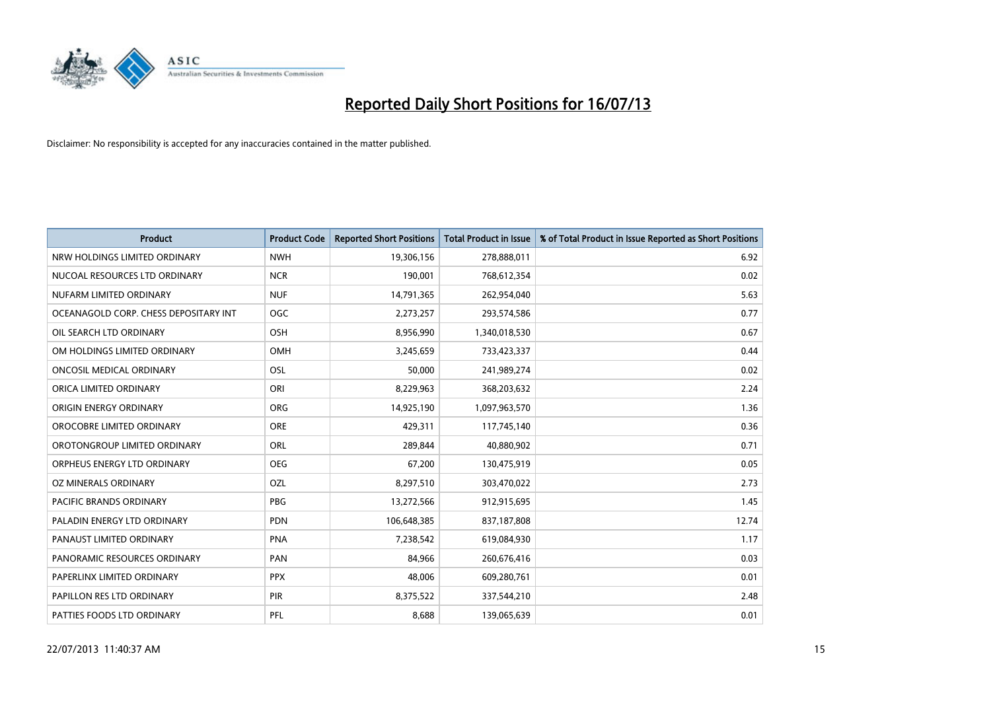

| <b>Product</b>                        | <b>Product Code</b> | <b>Reported Short Positions</b> | <b>Total Product in Issue</b> | % of Total Product in Issue Reported as Short Positions |
|---------------------------------------|---------------------|---------------------------------|-------------------------------|---------------------------------------------------------|
| NRW HOLDINGS LIMITED ORDINARY         | <b>NWH</b>          | 19,306,156                      | 278,888,011                   | 6.92                                                    |
| NUCOAL RESOURCES LTD ORDINARY         | <b>NCR</b>          | 190,001                         | 768,612,354                   | 0.02                                                    |
| NUFARM LIMITED ORDINARY               | <b>NUF</b>          | 14,791,365                      | 262,954,040                   | 5.63                                                    |
| OCEANAGOLD CORP. CHESS DEPOSITARY INT | <b>OGC</b>          | 2,273,257                       | 293,574,586                   | 0.77                                                    |
| OIL SEARCH LTD ORDINARY               | OSH                 | 8,956,990                       | 1,340,018,530                 | 0.67                                                    |
| OM HOLDINGS LIMITED ORDINARY          | OMH                 | 3,245,659                       | 733,423,337                   | 0.44                                                    |
| ONCOSIL MEDICAL ORDINARY              | OSL                 | 50,000                          | 241,989,274                   | 0.02                                                    |
| ORICA LIMITED ORDINARY                | ORI                 | 8,229,963                       | 368,203,632                   | 2.24                                                    |
| ORIGIN ENERGY ORDINARY                | <b>ORG</b>          | 14,925,190                      | 1,097,963,570                 | 1.36                                                    |
| OROCOBRE LIMITED ORDINARY             | <b>ORE</b>          | 429,311                         | 117,745,140                   | 0.36                                                    |
| OROTONGROUP LIMITED ORDINARY          | ORL                 | 289,844                         | 40,880,902                    | 0.71                                                    |
| ORPHEUS ENERGY LTD ORDINARY           | <b>OEG</b>          | 67,200                          | 130,475,919                   | 0.05                                                    |
| OZ MINERALS ORDINARY                  | OZL                 | 8,297,510                       | 303,470,022                   | 2.73                                                    |
| <b>PACIFIC BRANDS ORDINARY</b>        | PBG                 | 13,272,566                      | 912,915,695                   | 1.45                                                    |
| PALADIN ENERGY LTD ORDINARY           | <b>PDN</b>          | 106,648,385                     | 837,187,808                   | 12.74                                                   |
| PANAUST LIMITED ORDINARY              | <b>PNA</b>          | 7,238,542                       | 619,084,930                   | 1.17                                                    |
| PANORAMIC RESOURCES ORDINARY          | PAN                 | 84,966                          | 260,676,416                   | 0.03                                                    |
| PAPERLINX LIMITED ORDINARY            | <b>PPX</b>          | 48,006                          | 609,280,761                   | 0.01                                                    |
| PAPILLON RES LTD ORDINARY             | PIR                 | 8,375,522                       | 337,544,210                   | 2.48                                                    |
| PATTIES FOODS LTD ORDINARY            | PFL                 | 8,688                           | 139,065,639                   | 0.01                                                    |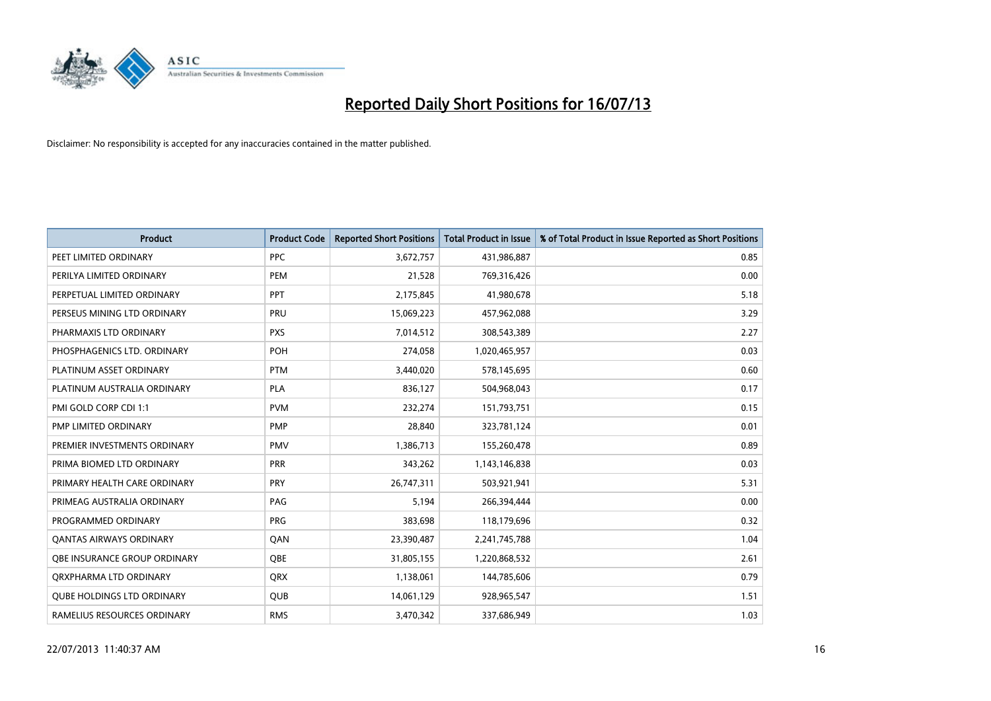

| <b>Product</b>                    | <b>Product Code</b> | <b>Reported Short Positions</b> | <b>Total Product in Issue</b> | % of Total Product in Issue Reported as Short Positions |
|-----------------------------------|---------------------|---------------------------------|-------------------------------|---------------------------------------------------------|
| PEET LIMITED ORDINARY             | <b>PPC</b>          | 3,672,757                       | 431,986,887                   | 0.85                                                    |
| PERILYA LIMITED ORDINARY          | <b>PEM</b>          | 21,528                          | 769,316,426                   | 0.00                                                    |
| PERPETUAL LIMITED ORDINARY        | PPT                 | 2,175,845                       | 41,980,678                    | 5.18                                                    |
| PERSEUS MINING LTD ORDINARY       | <b>PRU</b>          | 15,069,223                      | 457,962,088                   | 3.29                                                    |
| PHARMAXIS LTD ORDINARY            | <b>PXS</b>          | 7,014,512                       | 308,543,389                   | 2.27                                                    |
| PHOSPHAGENICS LTD. ORDINARY       | POH                 | 274,058                         | 1,020,465,957                 | 0.03                                                    |
| PLATINUM ASSET ORDINARY           | <b>PTM</b>          | 3,440,020                       | 578,145,695                   | 0.60                                                    |
| PLATINUM AUSTRALIA ORDINARY       | <b>PLA</b>          | 836,127                         | 504,968,043                   | 0.17                                                    |
| PMI GOLD CORP CDI 1:1             | <b>PVM</b>          | 232,274                         | 151,793,751                   | 0.15                                                    |
| PMP LIMITED ORDINARY              | <b>PMP</b>          | 28,840                          | 323,781,124                   | 0.01                                                    |
| PREMIER INVESTMENTS ORDINARY      | <b>PMV</b>          | 1,386,713                       | 155,260,478                   | 0.89                                                    |
| PRIMA BIOMED LTD ORDINARY         | <b>PRR</b>          | 343,262                         | 1,143,146,838                 | 0.03                                                    |
| PRIMARY HEALTH CARE ORDINARY      | <b>PRY</b>          | 26,747,311                      | 503,921,941                   | 5.31                                                    |
| PRIMEAG AUSTRALIA ORDINARY        | PAG                 | 5,194                           | 266,394,444                   | 0.00                                                    |
| PROGRAMMED ORDINARY               | <b>PRG</b>          | 383,698                         | 118,179,696                   | 0.32                                                    |
| <b>QANTAS AIRWAYS ORDINARY</b>    | QAN                 | 23,390,487                      | 2,241,745,788                 | 1.04                                                    |
| OBE INSURANCE GROUP ORDINARY      | <b>OBE</b>          | 31,805,155                      | 1,220,868,532                 | 2.61                                                    |
| ORXPHARMA LTD ORDINARY            | QRX                 | 1,138,061                       | 144,785,606                   | 0.79                                                    |
| <b>QUBE HOLDINGS LTD ORDINARY</b> | <b>QUB</b>          | 14,061,129                      | 928,965,547                   | 1.51                                                    |
| RAMELIUS RESOURCES ORDINARY       | <b>RMS</b>          | 3,470,342                       | 337,686,949                   | 1.03                                                    |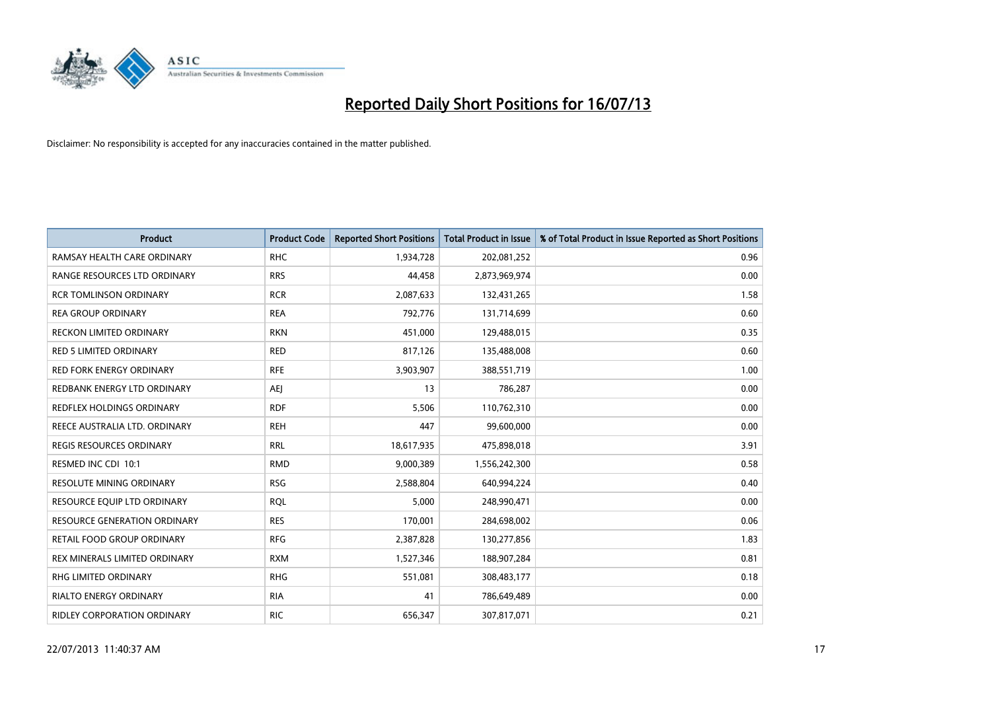

| <b>Product</b>                      | <b>Product Code</b> | <b>Reported Short Positions</b> | <b>Total Product in Issue</b> | % of Total Product in Issue Reported as Short Positions |
|-------------------------------------|---------------------|---------------------------------|-------------------------------|---------------------------------------------------------|
| RAMSAY HEALTH CARE ORDINARY         | <b>RHC</b>          | 1,934,728                       | 202,081,252                   | 0.96                                                    |
| RANGE RESOURCES LTD ORDINARY        | <b>RRS</b>          | 44,458                          | 2,873,969,974                 | 0.00                                                    |
| <b>RCR TOMLINSON ORDINARY</b>       | <b>RCR</b>          | 2,087,633                       | 132,431,265                   | 1.58                                                    |
| <b>REA GROUP ORDINARY</b>           | <b>REA</b>          | 792,776                         | 131,714,699                   | 0.60                                                    |
| <b>RECKON LIMITED ORDINARY</b>      | <b>RKN</b>          | 451,000                         | 129,488,015                   | 0.35                                                    |
| <b>RED 5 LIMITED ORDINARY</b>       | <b>RED</b>          | 817,126                         | 135,488,008                   | 0.60                                                    |
| <b>RED FORK ENERGY ORDINARY</b>     | <b>RFE</b>          | 3,903,907                       | 388,551,719                   | 1.00                                                    |
| REDBANK ENERGY LTD ORDINARY         | <b>AEJ</b>          | 13                              | 786,287                       | 0.00                                                    |
| <b>REDFLEX HOLDINGS ORDINARY</b>    | <b>RDF</b>          | 5,506                           | 110,762,310                   | 0.00                                                    |
| REECE AUSTRALIA LTD. ORDINARY       | <b>REH</b>          | 447                             | 99,600,000                    | 0.00                                                    |
| <b>REGIS RESOURCES ORDINARY</b>     | <b>RRL</b>          | 18,617,935                      | 475,898,018                   | 3.91                                                    |
| RESMED INC CDI 10:1                 | <b>RMD</b>          | 9,000,389                       | 1,556,242,300                 | 0.58                                                    |
| RESOLUTE MINING ORDINARY            | <b>RSG</b>          | 2,588,804                       | 640,994,224                   | 0.40                                                    |
| RESOURCE EQUIP LTD ORDINARY         | <b>RQL</b>          | 5,000                           | 248,990,471                   | 0.00                                                    |
| <b>RESOURCE GENERATION ORDINARY</b> | <b>RES</b>          | 170,001                         | 284,698,002                   | 0.06                                                    |
| RETAIL FOOD GROUP ORDINARY          | <b>RFG</b>          | 2,387,828                       | 130,277,856                   | 1.83                                                    |
| REX MINERALS LIMITED ORDINARY       | <b>RXM</b>          | 1,527,346                       | 188,907,284                   | 0.81                                                    |
| RHG LIMITED ORDINARY                | <b>RHG</b>          | 551,081                         | 308,483,177                   | 0.18                                                    |
| <b>RIALTO ENERGY ORDINARY</b>       | <b>RIA</b>          | 41                              | 786,649,489                   | 0.00                                                    |
| RIDLEY CORPORATION ORDINARY         | <b>RIC</b>          | 656,347                         | 307,817,071                   | 0.21                                                    |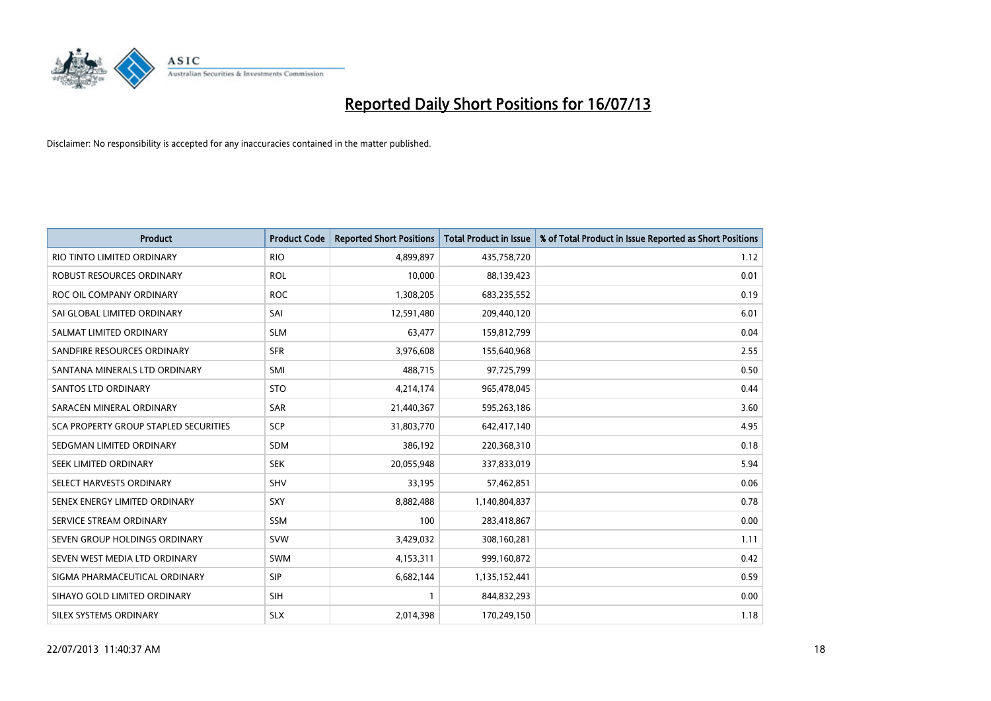

| <b>Product</b>                        | <b>Product Code</b> | <b>Reported Short Positions</b> | <b>Total Product in Issue</b> | % of Total Product in Issue Reported as Short Positions |
|---------------------------------------|---------------------|---------------------------------|-------------------------------|---------------------------------------------------------|
| RIO TINTO LIMITED ORDINARY            | <b>RIO</b>          | 4,899,897                       | 435,758,720                   | 1.12                                                    |
| ROBUST RESOURCES ORDINARY             | <b>ROL</b>          | 10,000                          | 88,139,423                    | 0.01                                                    |
| ROC OIL COMPANY ORDINARY              | <b>ROC</b>          | 1,308,205                       | 683,235,552                   | 0.19                                                    |
| SAI GLOBAL LIMITED ORDINARY           | SAI                 | 12,591,480                      | 209,440,120                   | 6.01                                                    |
| SALMAT LIMITED ORDINARY               | <b>SLM</b>          | 63,477                          | 159,812,799                   | 0.04                                                    |
| SANDFIRE RESOURCES ORDINARY           | <b>SFR</b>          | 3,976,608                       | 155,640,968                   | 2.55                                                    |
| SANTANA MINERALS LTD ORDINARY         | <b>SMI</b>          | 488,715                         | 97,725,799                    | 0.50                                                    |
| <b>SANTOS LTD ORDINARY</b>            | <b>STO</b>          | 4,214,174                       | 965,478,045                   | 0.44                                                    |
| SARACEN MINERAL ORDINARY              | <b>SAR</b>          | 21,440,367                      | 595,263,186                   | 3.60                                                    |
| SCA PROPERTY GROUP STAPLED SECURITIES | <b>SCP</b>          | 31,803,770                      | 642,417,140                   | 4.95                                                    |
| SEDGMAN LIMITED ORDINARY              | SDM                 | 386,192                         | 220,368,310                   | 0.18                                                    |
| SEEK LIMITED ORDINARY                 | <b>SEK</b>          | 20,055,948                      | 337,833,019                   | 5.94                                                    |
| SELECT HARVESTS ORDINARY              | <b>SHV</b>          | 33,195                          | 57,462,851                    | 0.06                                                    |
| SENEX ENERGY LIMITED ORDINARY         | SXY                 | 8,882,488                       | 1,140,804,837                 | 0.78                                                    |
| SERVICE STREAM ORDINARY               | <b>SSM</b>          | 100                             | 283,418,867                   | 0.00                                                    |
| SEVEN GROUP HOLDINGS ORDINARY         | <b>SVW</b>          | 3,429,032                       | 308,160,281                   | 1.11                                                    |
| SEVEN WEST MEDIA LTD ORDINARY         | SWM                 | 4,153,311                       | 999,160,872                   | 0.42                                                    |
| SIGMA PHARMACEUTICAL ORDINARY         | <b>SIP</b>          | 6,682,144                       | 1,135,152,441                 | 0.59                                                    |
| SIHAYO GOLD LIMITED ORDINARY          | <b>SIH</b>          | 1                               | 844,832,293                   | 0.00                                                    |
| SILEX SYSTEMS ORDINARY                | <b>SLX</b>          | 2,014,398                       | 170,249,150                   | 1.18                                                    |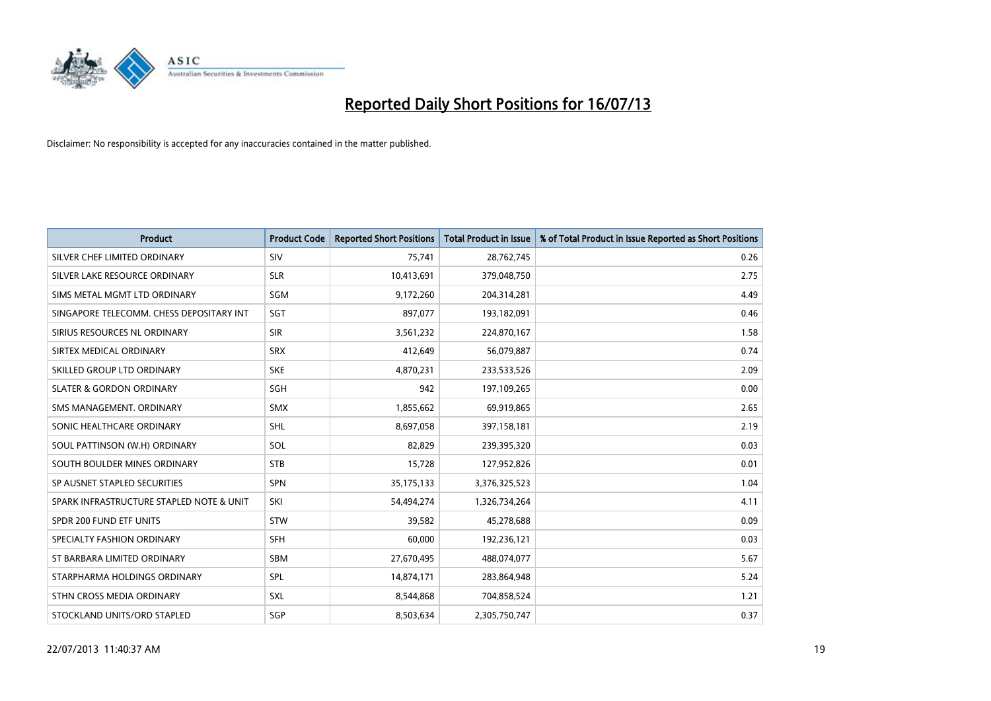

| <b>Product</b>                           | <b>Product Code</b> | <b>Reported Short Positions</b> | <b>Total Product in Issue</b> | % of Total Product in Issue Reported as Short Positions |
|------------------------------------------|---------------------|---------------------------------|-------------------------------|---------------------------------------------------------|
| SILVER CHEF LIMITED ORDINARY             | SIV                 | 75,741                          | 28,762,745                    | 0.26                                                    |
| SILVER LAKE RESOURCE ORDINARY            | <b>SLR</b>          | 10,413,691                      | 379,048,750                   | 2.75                                                    |
| SIMS METAL MGMT LTD ORDINARY             | SGM                 | 9,172,260                       | 204,314,281                   | 4.49                                                    |
| SINGAPORE TELECOMM. CHESS DEPOSITARY INT | SGT                 | 897,077                         | 193,182,091                   | 0.46                                                    |
| SIRIUS RESOURCES NL ORDINARY             | <b>SIR</b>          | 3,561,232                       | 224,870,167                   | 1.58                                                    |
| SIRTEX MEDICAL ORDINARY                  | <b>SRX</b>          | 412,649                         | 56,079,887                    | 0.74                                                    |
| SKILLED GROUP LTD ORDINARY               | <b>SKE</b>          | 4,870,231                       | 233,533,526                   | 2.09                                                    |
| <b>SLATER &amp; GORDON ORDINARY</b>      | <b>SGH</b>          | 942                             | 197,109,265                   | 0.00                                                    |
| SMS MANAGEMENT, ORDINARY                 | <b>SMX</b>          | 1,855,662                       | 69,919,865                    | 2.65                                                    |
| SONIC HEALTHCARE ORDINARY                | <b>SHL</b>          | 8,697,058                       | 397,158,181                   | 2.19                                                    |
| SOUL PATTINSON (W.H) ORDINARY            | SOL                 | 82,829                          | 239,395,320                   | 0.03                                                    |
| SOUTH BOULDER MINES ORDINARY             | <b>STB</b>          | 15,728                          | 127,952,826                   | 0.01                                                    |
| SP AUSNET STAPLED SECURITIES             | <b>SPN</b>          | 35,175,133                      | 3,376,325,523                 | 1.04                                                    |
| SPARK INFRASTRUCTURE STAPLED NOTE & UNIT | SKI                 | 54,494,274                      | 1,326,734,264                 | 4.11                                                    |
| SPDR 200 FUND ETF UNITS                  | <b>STW</b>          | 39,582                          | 45,278,688                    | 0.09                                                    |
| SPECIALTY FASHION ORDINARY               | SFH                 | 60,000                          | 192,236,121                   | 0.03                                                    |
| ST BARBARA LIMITED ORDINARY              | SBM                 | 27,670,495                      | 488,074,077                   | 5.67                                                    |
| STARPHARMA HOLDINGS ORDINARY             | <b>SPL</b>          | 14,874,171                      | 283,864,948                   | 5.24                                                    |
| STHN CROSS MEDIA ORDINARY                | <b>SXL</b>          | 8,544,868                       | 704,858,524                   | 1.21                                                    |
| STOCKLAND UNITS/ORD STAPLED              | SGP                 | 8,503,634                       | 2,305,750,747                 | 0.37                                                    |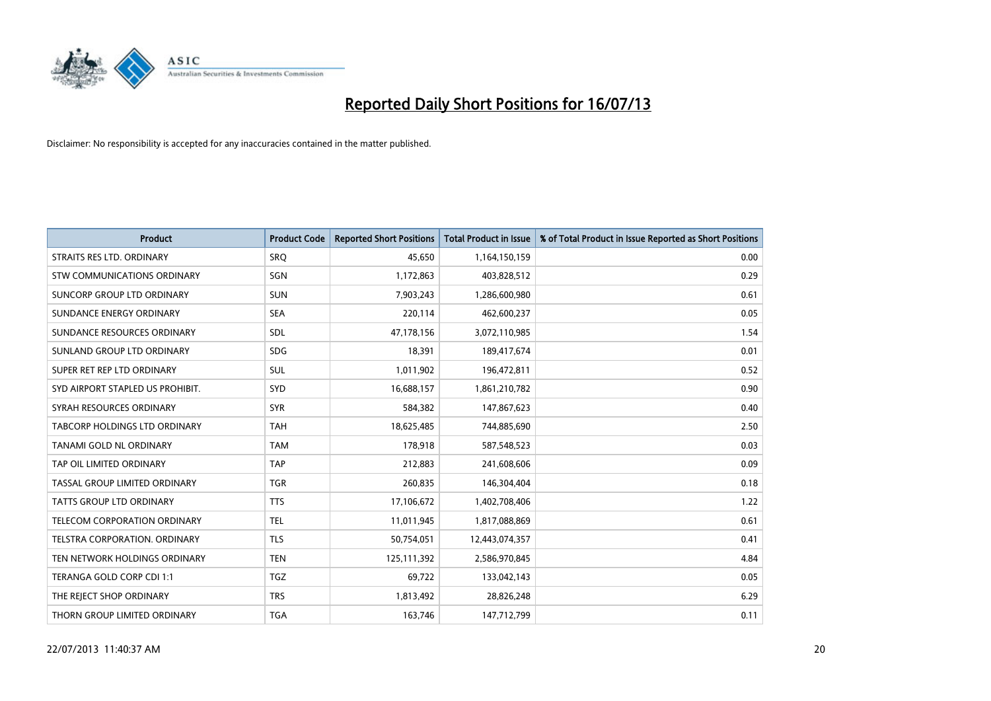

| <b>Product</b>                      | <b>Product Code</b> | <b>Reported Short Positions</b> | <b>Total Product in Issue</b> | % of Total Product in Issue Reported as Short Positions |
|-------------------------------------|---------------------|---------------------------------|-------------------------------|---------------------------------------------------------|
| STRAITS RES LTD. ORDINARY           | SRO                 | 45,650                          | 1,164,150,159                 | 0.00                                                    |
| <b>STW COMMUNICATIONS ORDINARY</b>  | SGN                 | 1,172,863                       | 403,828,512                   | 0.29                                                    |
| SUNCORP GROUP LTD ORDINARY          | <b>SUN</b>          | 7,903,243                       | 1,286,600,980                 | 0.61                                                    |
| SUNDANCE ENERGY ORDINARY            | <b>SEA</b>          | 220,114                         | 462,600,237                   | 0.05                                                    |
| SUNDANCE RESOURCES ORDINARY         | SDL                 | 47,178,156                      | 3,072,110,985                 | 1.54                                                    |
| SUNLAND GROUP LTD ORDINARY          | <b>SDG</b>          | 18,391                          | 189,417,674                   | 0.01                                                    |
| SUPER RET REP LTD ORDINARY          | SUL                 | 1,011,902                       | 196,472,811                   | 0.52                                                    |
| SYD AIRPORT STAPLED US PROHIBIT.    | SYD                 | 16,688,157                      | 1,861,210,782                 | 0.90                                                    |
| SYRAH RESOURCES ORDINARY            | <b>SYR</b>          | 584,382                         | 147,867,623                   | 0.40                                                    |
| TABCORP HOLDINGS LTD ORDINARY       | <b>TAH</b>          | 18,625,485                      | 744,885,690                   | 2.50                                                    |
| TANAMI GOLD NL ORDINARY             | <b>TAM</b>          | 178,918                         | 587,548,523                   | 0.03                                                    |
| TAP OIL LIMITED ORDINARY            | <b>TAP</b>          | 212,883                         | 241,608,606                   | 0.09                                                    |
| TASSAL GROUP LIMITED ORDINARY       | <b>TGR</b>          | 260,835                         | 146,304,404                   | 0.18                                                    |
| <b>TATTS GROUP LTD ORDINARY</b>     | <b>TTS</b>          | 17,106,672                      | 1,402,708,406                 | 1.22                                                    |
| <b>TELECOM CORPORATION ORDINARY</b> | <b>TEL</b>          | 11,011,945                      | 1,817,088,869                 | 0.61                                                    |
| TELSTRA CORPORATION, ORDINARY       | <b>TLS</b>          | 50,754,051                      | 12,443,074,357                | 0.41                                                    |
| TEN NETWORK HOLDINGS ORDINARY       | <b>TEN</b>          | 125,111,392                     | 2,586,970,845                 | 4.84                                                    |
| TERANGA GOLD CORP CDI 1:1           | <b>TGZ</b>          | 69,722                          | 133,042,143                   | 0.05                                                    |
| THE REJECT SHOP ORDINARY            | <b>TRS</b>          | 1,813,492                       | 28,826,248                    | 6.29                                                    |
| THORN GROUP LIMITED ORDINARY        | <b>TGA</b>          | 163,746                         | 147,712,799                   | 0.11                                                    |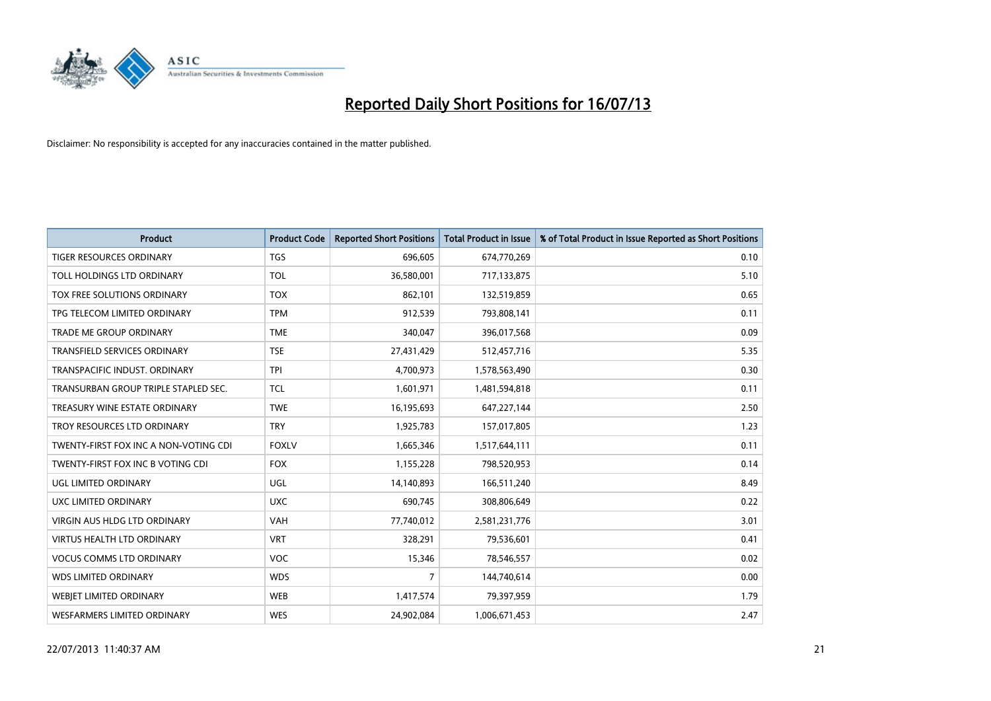

| <b>Product</b>                        | <b>Product Code</b> | <b>Reported Short Positions</b> | <b>Total Product in Issue</b> | % of Total Product in Issue Reported as Short Positions |
|---------------------------------------|---------------------|---------------------------------|-------------------------------|---------------------------------------------------------|
| <b>TIGER RESOURCES ORDINARY</b>       | <b>TGS</b>          | 696,605                         | 674,770,269                   | 0.10                                                    |
| TOLL HOLDINGS LTD ORDINARY            | <b>TOL</b>          | 36,580,001                      | 717,133,875                   | 5.10                                                    |
| TOX FREE SOLUTIONS ORDINARY           | <b>TOX</b>          | 862,101                         | 132,519,859                   | 0.65                                                    |
| TPG TELECOM LIMITED ORDINARY          | <b>TPM</b>          | 912,539                         | 793,808,141                   | 0.11                                                    |
| <b>TRADE ME GROUP ORDINARY</b>        | <b>TME</b>          | 340,047                         | 396,017,568                   | 0.09                                                    |
| <b>TRANSFIELD SERVICES ORDINARY</b>   | <b>TSE</b>          | 27,431,429                      | 512,457,716                   | 5.35                                                    |
| TRANSPACIFIC INDUST. ORDINARY         | <b>TPI</b>          | 4,700,973                       | 1,578,563,490                 | 0.30                                                    |
| TRANSURBAN GROUP TRIPLE STAPLED SEC.  | TCL                 | 1,601,971                       | 1,481,594,818                 | 0.11                                                    |
| TREASURY WINE ESTATE ORDINARY         | <b>TWE</b>          | 16,195,693                      | 647,227,144                   | 2.50                                                    |
| TROY RESOURCES LTD ORDINARY           | <b>TRY</b>          | 1,925,783                       | 157,017,805                   | 1.23                                                    |
| TWENTY-FIRST FOX INC A NON-VOTING CDI | <b>FOXLV</b>        | 1,665,346                       | 1,517,644,111                 | 0.11                                                    |
| TWENTY-FIRST FOX INC B VOTING CDI     | <b>FOX</b>          | 1,155,228                       | 798,520,953                   | 0.14                                                    |
| UGL LIMITED ORDINARY                  | UGL                 | 14,140,893                      | 166,511,240                   | 8.49                                                    |
| UXC LIMITED ORDINARY                  | <b>UXC</b>          | 690,745                         | 308,806,649                   | 0.22                                                    |
| <b>VIRGIN AUS HLDG LTD ORDINARY</b>   | <b>VAH</b>          | 77,740,012                      | 2,581,231,776                 | 3.01                                                    |
| <b>VIRTUS HEALTH LTD ORDINARY</b>     | <b>VRT</b>          | 328,291                         | 79,536,601                    | 0.41                                                    |
| <b>VOCUS COMMS LTD ORDINARY</b>       | VOC                 | 15,346                          | 78,546,557                    | 0.02                                                    |
| <b>WDS LIMITED ORDINARY</b>           | <b>WDS</b>          | $\overline{7}$                  | 144,740,614                   | 0.00                                                    |
| WEBJET LIMITED ORDINARY               | <b>WEB</b>          | 1,417,574                       | 79,397,959                    | 1.79                                                    |
| WESFARMERS LIMITED ORDINARY           | <b>WES</b>          | 24,902,084                      | 1,006,671,453                 | 2.47                                                    |